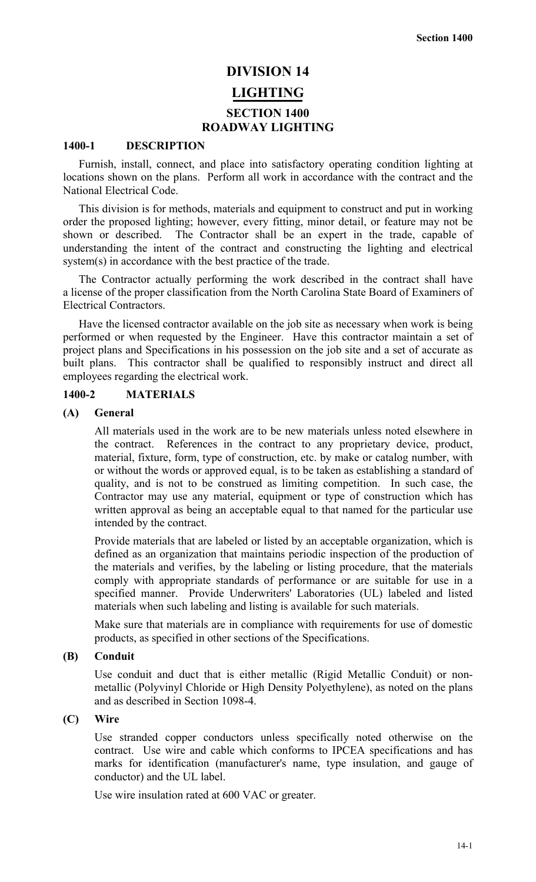# **DIVISION 14 LIGHTING SECTION 1400 ROADWAY LIGHTING**

#### **1400-1 DESCRIPTION**

Furnish, install, connect, and place into satisfactory operating condition lighting at locations shown on the plans. Perform all work in accordance with the contract and the National Electrical Code.

This division is for methods, materials and equipment to construct and put in working order the proposed lighting; however, every fitting, minor detail, or feature may not be shown or described. The Contractor shall be an expert in the trade, capable of understanding the intent of the contract and constructing the lighting and electrical system(s) in accordance with the best practice of the trade.

The Contractor actually performing the work described in the contract shall have a license of the proper classification from the North Carolina State Board of Examiners of Electrical Contractors.

Have the licensed contractor available on the job site as necessary when work is being performed or when requested by the Engineer. Have this contractor maintain a set of project plans and Specifications in his possession on the job site and a set of accurate as built plans. This contractor shall be qualified to responsibly instruct and direct all employees regarding the electrical work.

#### **1400-2 MATERIALS**

# **(A) General**

All materials used in the work are to be new materials unless noted elsewhere in the contract. References in the contract to any proprietary device, product, material, fixture, form, type of construction, etc. by make or catalog number, with or without the words or approved equal, is to be taken as establishing a standard of quality, and is not to be construed as limiting competition. In such case, the Contractor may use any material, equipment or type of construction which has written approval as being an acceptable equal to that named for the particular use intended by the contract.

Provide materials that are labeled or listed by an acceptable organization, which is defined as an organization that maintains periodic inspection of the production of the materials and verifies, by the labeling or listing procedure, that the materials comply with appropriate standards of performance or are suitable for use in a specified manner. Provide Underwriters' Laboratories (UL) labeled and listed materials when such labeling and listing is available for such materials.

Make sure that materials are in compliance with requirements for use of domestic products, as specified in other sections of the Specifications.

# **(B) Conduit**

Use conduit and duct that is either metallic (Rigid Metallic Conduit) or nonmetallic (Polyvinyl Chloride or High Density Polyethylene), as noted on the plans and as described in Section 1098-4.

#### **(C) Wire**

Use stranded copper conductors unless specifically noted otherwise on the contract. Use wire and cable which conforms to IPCEA specifications and has marks for identification (manufacturer's name, type insulation, and gauge of conductor) and the UL label.

Use wire insulation rated at 600 VAC or greater.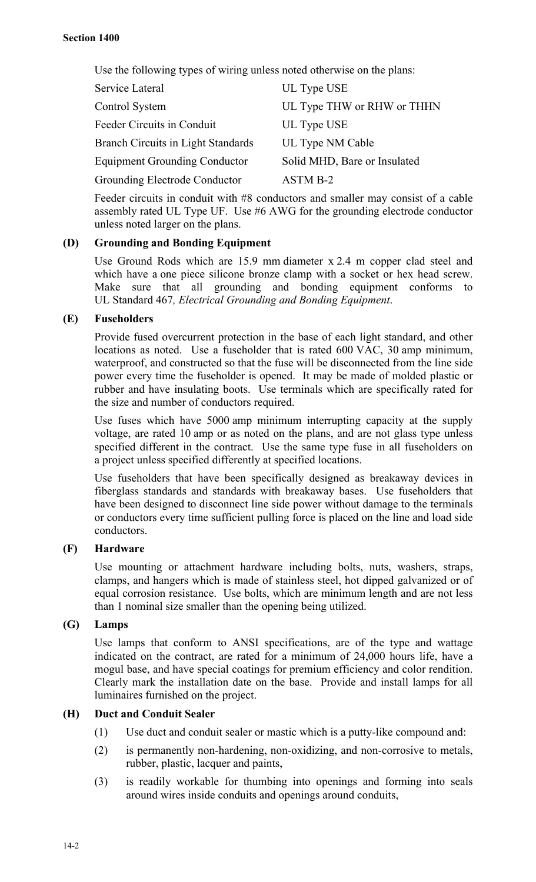Use the following types of wiring unless noted otherwise on the plans:

| Service Lateral                           | UL Type USE                  |  |
|-------------------------------------------|------------------------------|--|
| Control System                            | UL Type THW or RHW or THHN   |  |
| Feeder Circuits in Conduit                | UL Type USE                  |  |
| <b>Branch Circuits in Light Standards</b> | UL Type NM Cable             |  |
| <b>Equipment Grounding Conductor</b>      | Solid MHD, Bare or Insulated |  |
| Grounding Electrode Conductor             | ASTM B-2                     |  |

Feeder circuits in conduit with #8 conductors and smaller may consist of a cable assembly rated UL Type UF. Use #6 AWG for the grounding electrode conductor unless noted larger on the plans.

# **(D) Grounding and Bonding Equipment**

Use Ground Rods which are 15.9 mm diameter x 2.4 m copper clad steel and which have a one piece silicone bronze clamp with a socket or hex head screw. Make sure that all grounding and bonding equipment conforms to UL Standard 467*, Electrical Grounding and Bonding Equipment*.

# **(E) Fuseholders**

Provide fused overcurrent protection in the base of each light standard, and other locations as noted. Use a fuseholder that is rated 600 VAC, 30 amp minimum, waterproof, and constructed so that the fuse will be disconnected from the line side power every time the fuseholder is opened. It may be made of molded plastic or rubber and have insulating boots. Use terminals which are specifically rated for the size and number of conductors required.

Use fuses which have 5000 amp minimum interrupting capacity at the supply voltage, are rated 10 amp or as noted on the plans, and are not glass type unless specified different in the contract. Use the same type fuse in all fuseholders on a project unless specified differently at specified locations.

Use fuseholders that have been specifically designed as breakaway devices in fiberglass standards and standards with breakaway bases. Use fuseholders that have been designed to disconnect line side power without damage to the terminals or conductors every time sufficient pulling force is placed on the line and load side conductors.

# **(F) Hardware**

Use mounting or attachment hardware including bolts, nuts, washers, straps, clamps, and hangers which is made of stainless steel, hot dipped galvanized or of equal corrosion resistance. Use bolts, which are minimum length and are not less than 1 nominal size smaller than the opening being utilized.

# **(G) Lamps**

Use lamps that conform to ANSI specifications, are of the type and wattage indicated on the contract, are rated for a minimum of 24,000 hours life, have a mogul base, and have special coatings for premium efficiency and color rendition. Clearly mark the installation date on the base. Provide and install lamps for all luminaires furnished on the project.

# **(H) Duct and Conduit Sealer**

- (1) Use duct and conduit sealer or mastic which is a putty-like compound and:
- (2) is permanently non-hardening, non-oxidizing, and non-corrosive to metals, rubber, plastic, lacquer and paints,
- (3) is readily workable for thumbing into openings and forming into seals around wires inside conduits and openings around conduits,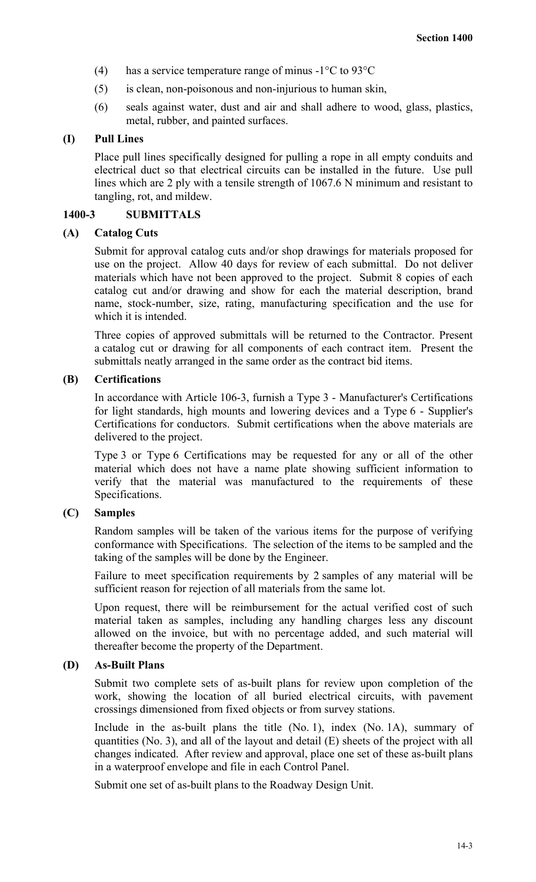- (4) has a service temperature range of minus  $-1^{\circ}$ C to 93 $^{\circ}$ C
- (5) is clean, non-poisonous and non-injurious to human skin,
- (6) seals against water, dust and air and shall adhere to wood, glass, plastics, metal, rubber, and painted surfaces.

# **(I) Pull Lines**

Place pull lines specifically designed for pulling a rope in all empty conduits and electrical duct so that electrical circuits can be installed in the future. Use pull lines which are 2 ply with a tensile strength of 1067.6 N minimum and resistant to tangling, rot, and mildew.

#### **1400-3 SUBMITTALS**

#### **(A) Catalog Cuts**

Submit for approval catalog cuts and/or shop drawings for materials proposed for use on the project. Allow 40 days for review of each submittal. Do not deliver materials which have not been approved to the project. Submit 8 copies of each catalog cut and/or drawing and show for each the material description, brand name, stock-number, size, rating, manufacturing specification and the use for which it is intended.

Three copies of approved submittals will be returned to the Contractor. Present a catalog cut or drawing for all components of each contract item. Present the submittals neatly arranged in the same order as the contract bid items.

#### **(B) Certifications**

In accordance with Article 106-3, furnish a Type 3 - Manufacturer's Certifications for light standards, high mounts and lowering devices and a Type 6 - Supplier's Certifications for conductors. Submit certifications when the above materials are delivered to the project.

Type 3 or Type 6 Certifications may be requested for any or all of the other material which does not have a name plate showing sufficient information to verify that the material was manufactured to the requirements of these Specifications.

# **(C) Samples**

Random samples will be taken of the various items for the purpose of verifying conformance with Specifications. The selection of the items to be sampled and the taking of the samples will be done by the Engineer.

Failure to meet specification requirements by 2 samples of any material will be sufficient reason for rejection of all materials from the same lot.

Upon request, there will be reimbursement for the actual verified cost of such material taken as samples, including any handling charges less any discount allowed on the invoice, but with no percentage added, and such material will thereafter become the property of the Department.

# **(D) As-Built Plans**

Submit two complete sets of as-built plans for review upon completion of the work, showing the location of all buried electrical circuits, with pavement crossings dimensioned from fixed objects or from survey stations.

Include in the as-built plans the title (No. 1), index (No. 1A), summary of quantities (No. 3), and all of the layout and detail (E) sheets of the project with all changes indicated. After review and approval, place one set of these as-built plans in a waterproof envelope and file in each Control Panel.

Submit one set of as-built plans to the Roadway Design Unit.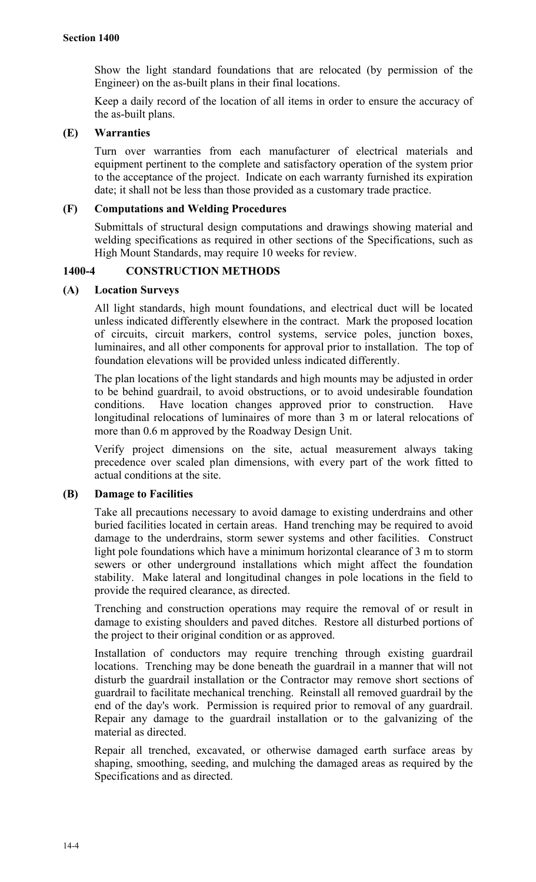Show the light standard foundations that are relocated (by permission of the Engineer) on the as-built plans in their final locations.

Keep a daily record of the location of all items in order to ensure the accuracy of the as-built plans.

# **(E) Warranties**

Turn over warranties from each manufacturer of electrical materials and equipment pertinent to the complete and satisfactory operation of the system prior to the acceptance of the project. Indicate on each warranty furnished its expiration date; it shall not be less than those provided as a customary trade practice.

# **(F) Computations and Welding Procedures**

Submittals of structural design computations and drawings showing material and welding specifications as required in other sections of the Specifications, such as High Mount Standards, may require 10 weeks for review.

# **1400-4 CONSTRUCTION METHODS**

# **(A) Location Surveys**

All light standards, high mount foundations, and electrical duct will be located unless indicated differently elsewhere in the contract. Mark the proposed location of circuits, circuit markers, control systems, service poles, junction boxes, luminaires, and all other components for approval prior to installation. The top of foundation elevations will be provided unless indicated differently.

The plan locations of the light standards and high mounts may be adjusted in order to be behind guardrail, to avoid obstructions, or to avoid undesirable foundation conditions. Have location changes approved prior to construction. Have longitudinal relocations of luminaires of more than 3 m or lateral relocations of more than 0.6 m approved by the Roadway Design Unit.

Verify project dimensions on the site, actual measurement always taking precedence over scaled plan dimensions, with every part of the work fitted to actual conditions at the site.

# **(B) Damage to Facilities**

Take all precautions necessary to avoid damage to existing underdrains and other buried facilities located in certain areas. Hand trenching may be required to avoid damage to the underdrains, storm sewer systems and other facilities. Construct light pole foundations which have a minimum horizontal clearance of 3 m to storm sewers or other underground installations which might affect the foundation stability. Make lateral and longitudinal changes in pole locations in the field to provide the required clearance, as directed.

Trenching and construction operations may require the removal of or result in damage to existing shoulders and paved ditches. Restore all disturbed portions of the project to their original condition or as approved.

Installation of conductors may require trenching through existing guardrail locations. Trenching may be done beneath the guardrail in a manner that will not disturb the guardrail installation or the Contractor may remove short sections of guardrail to facilitate mechanical trenching. Reinstall all removed guardrail by the end of the day's work. Permission is required prior to removal of any guardrail. Repair any damage to the guardrail installation or to the galvanizing of the material as directed.

Repair all trenched, excavated, or otherwise damaged earth surface areas by shaping, smoothing, seeding, and mulching the damaged areas as required by the Specifications and as directed.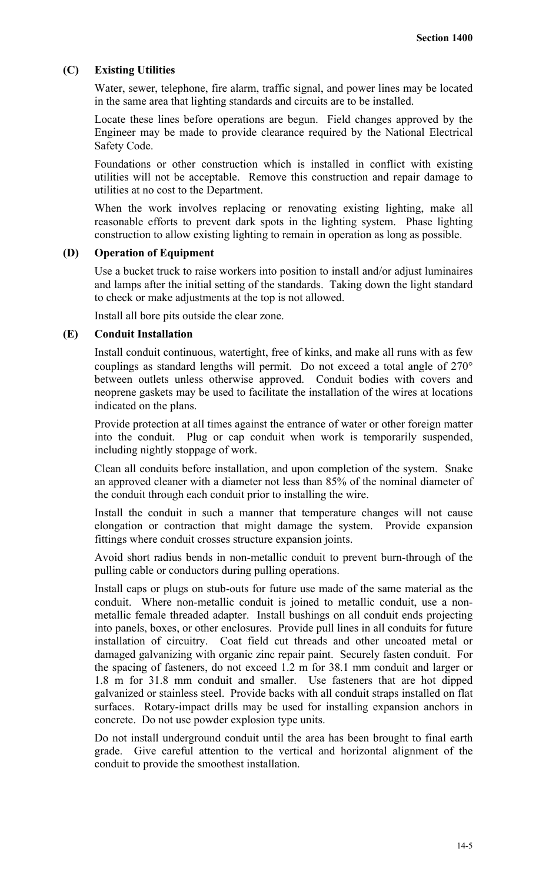#### **(C) Existing Utilities**

Water, sewer, telephone, fire alarm, traffic signal, and power lines may be located in the same area that lighting standards and circuits are to be installed.

Locate these lines before operations are begun. Field changes approved by the Engineer may be made to provide clearance required by the National Electrical Safety Code.

Foundations or other construction which is installed in conflict with existing utilities will not be acceptable. Remove this construction and repair damage to utilities at no cost to the Department.

When the work involves replacing or renovating existing lighting, make all reasonable efforts to prevent dark spots in the lighting system. Phase lighting construction to allow existing lighting to remain in operation as long as possible.

#### **(D) Operation of Equipment**

Use a bucket truck to raise workers into position to install and/or adjust luminaires and lamps after the initial setting of the standards. Taking down the light standard to check or make adjustments at the top is not allowed.

Install all bore pits outside the clear zone.

#### **(E) Conduit Installation**

Install conduit continuous, watertight, free of kinks, and make all runs with as few couplings as standard lengths will permit. Do not exceed a total angle of 270° between outlets unless otherwise approved. Conduit bodies with covers and neoprene gaskets may be used to facilitate the installation of the wires at locations indicated on the plans.

Provide protection at all times against the entrance of water or other foreign matter into the conduit. Plug or cap conduit when work is temporarily suspended, including nightly stoppage of work.

Clean all conduits before installation, and upon completion of the system. Snake an approved cleaner with a diameter not less than 85% of the nominal diameter of the conduit through each conduit prior to installing the wire.

Install the conduit in such a manner that temperature changes will not cause elongation or contraction that might damage the system. Provide expansion fittings where conduit crosses structure expansion joints.

Avoid short radius bends in non-metallic conduit to prevent burn-through of the pulling cable or conductors during pulling operations.

Install caps or plugs on stub-outs for future use made of the same material as the conduit. Where non-metallic conduit is joined to metallic conduit, use a nonmetallic female threaded adapter. Install bushings on all conduit ends projecting into panels, boxes, or other enclosures. Provide pull lines in all conduits for future installation of circuitry. Coat field cut threads and other uncoated metal or damaged galvanizing with organic zinc repair paint. Securely fasten conduit. For the spacing of fasteners, do not exceed 1.2 m for 38.1 mm conduit and larger or 1.8 m for 31.8 mm conduit and smaller. Use fasteners that are hot dipped galvanized or stainless steel. Provide backs with all conduit straps installed on flat surfaces. Rotary-impact drills may be used for installing expansion anchors in concrete. Do not use powder explosion type units.

Do not install underground conduit until the area has been brought to final earth grade. Give careful attention to the vertical and horizontal alignment of the conduit to provide the smoothest installation.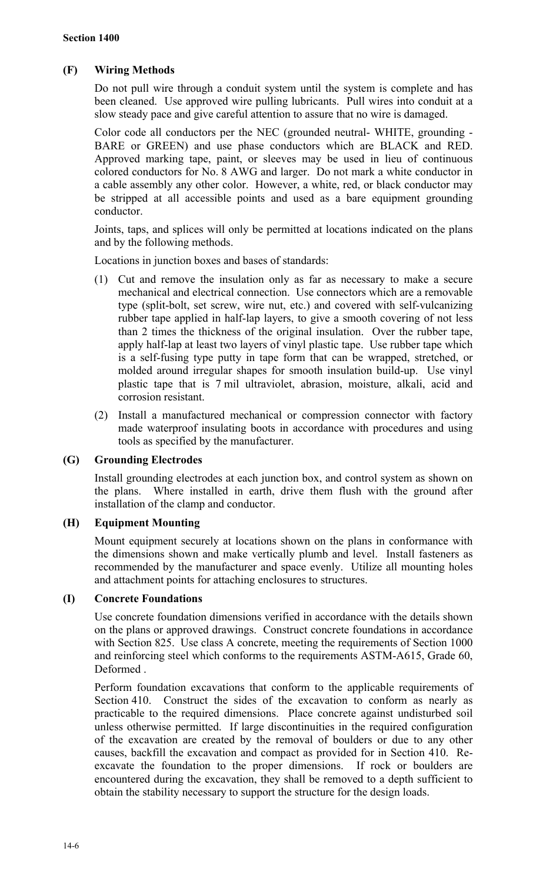# **(F) Wiring Methods**

Do not pull wire through a conduit system until the system is complete and has been cleaned. Use approved wire pulling lubricants. Pull wires into conduit at a slow steady pace and give careful attention to assure that no wire is damaged.

Color code all conductors per the NEC (grounded neutral- WHITE, grounding - BARE or GREEN) and use phase conductors which are BLACK and RED. Approved marking tape, paint, or sleeves may be used in lieu of continuous colored conductors for No. 8 AWG and larger. Do not mark a white conductor in a cable assembly any other color. However, a white, red, or black conductor may be stripped at all accessible points and used as a bare equipment grounding conductor.

Joints, taps, and splices will only be permitted at locations indicated on the plans and by the following methods.

Locations in junction boxes and bases of standards:

- (1) Cut and remove the insulation only as far as necessary to make a secure mechanical and electrical connection. Use connectors which are a removable type (split-bolt, set screw, wire nut, etc.) and covered with self-vulcanizing rubber tape applied in half-lap layers, to give a smooth covering of not less than 2 times the thickness of the original insulation. Over the rubber tape, apply half-lap at least two layers of vinyl plastic tape. Use rubber tape which is a self-fusing type putty in tape form that can be wrapped, stretched, or molded around irregular shapes for smooth insulation build-up. Use vinyl plastic tape that is 7 mil ultraviolet, abrasion, moisture, alkali, acid and corrosion resistant.
- (2) Install a manufactured mechanical or compression connector with factory made waterproof insulating boots in accordance with procedures and using tools as specified by the manufacturer.

# **(G) Grounding Electrodes**

Install grounding electrodes at each junction box, and control system as shown on the plans. Where installed in earth, drive them flush with the ground after installation of the clamp and conductor.

# **(H) Equipment Mounting**

Mount equipment securely at locations shown on the plans in conformance with the dimensions shown and make vertically plumb and level. Install fasteners as recommended by the manufacturer and space evenly. Utilize all mounting holes and attachment points for attaching enclosures to structures.

# **(I) Concrete Foundations**

Use concrete foundation dimensions verified in accordance with the details shown on the plans or approved drawings. Construct concrete foundations in accordance with Section 825. Use class A concrete, meeting the requirements of Section 1000 and reinforcing steel which conforms to the requirements ASTM-A615, Grade 60, Deformed .

Perform foundation excavations that conform to the applicable requirements of Section 410. Construct the sides of the excavation to conform as nearly as practicable to the required dimensions. Place concrete against undisturbed soil unless otherwise permitted. If large discontinuities in the required configuration of the excavation are created by the removal of boulders or due to any other causes, backfill the excavation and compact as provided for in Section 410. Reexcavate the foundation to the proper dimensions. If rock or boulders are encountered during the excavation, they shall be removed to a depth sufficient to obtain the stability necessary to support the structure for the design loads.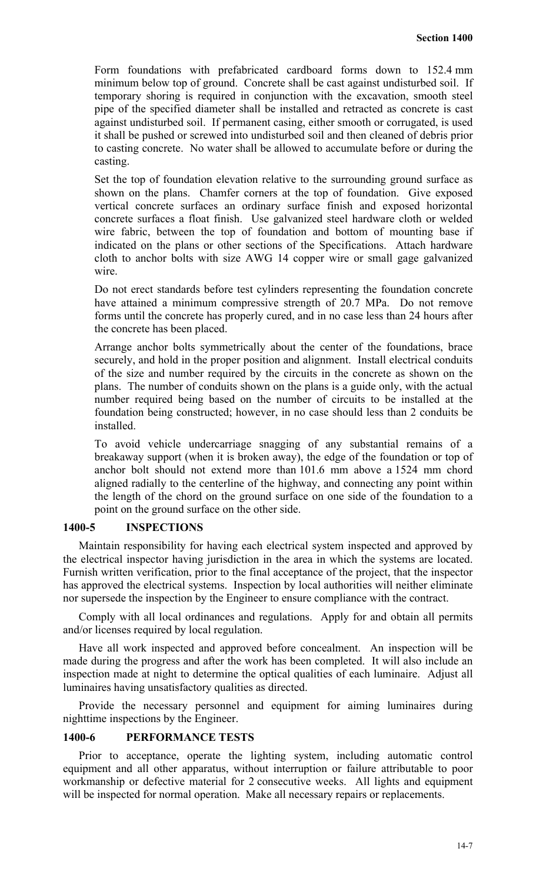Form foundations with prefabricated cardboard forms down to 152.4 mm minimum below top of ground. Concrete shall be cast against undisturbed soil. If temporary shoring is required in conjunction with the excavation, smooth steel pipe of the specified diameter shall be installed and retracted as concrete is cast against undisturbed soil. If permanent casing, either smooth or corrugated, is used it shall be pushed or screwed into undisturbed soil and then cleaned of debris prior to casting concrete. No water shall be allowed to accumulate before or during the casting.

Set the top of foundation elevation relative to the surrounding ground surface as shown on the plans. Chamfer corners at the top of foundation. Give exposed vertical concrete surfaces an ordinary surface finish and exposed horizontal concrete surfaces a float finish. Use galvanized steel hardware cloth or welded wire fabric, between the top of foundation and bottom of mounting base if indicated on the plans or other sections of the Specifications. Attach hardware cloth to anchor bolts with size AWG 14 copper wire or small gage galvanized wire.

Do not erect standards before test cylinders representing the foundation concrete have attained a minimum compressive strength of 20.7 MPa. Do not remove forms until the concrete has properly cured, and in no case less than 24 hours after the concrete has been placed.

Arrange anchor bolts symmetrically about the center of the foundations, brace securely, and hold in the proper position and alignment. Install electrical conduits of the size and number required by the circuits in the concrete as shown on the plans. The number of conduits shown on the plans is a guide only, with the actual number required being based on the number of circuits to be installed at the foundation being constructed; however, in no case should less than 2 conduits be installed.

To avoid vehicle undercarriage snagging of any substantial remains of a breakaway support (when it is broken away), the edge of the foundation or top of anchor bolt should not extend more than 101.6 mm above a 1524 mm chord aligned radially to the centerline of the highway, and connecting any point within the length of the chord on the ground surface on one side of the foundation to a point on the ground surface on the other side.

#### **1400-5 INSPECTIONS**

Maintain responsibility for having each electrical system inspected and approved by the electrical inspector having jurisdiction in the area in which the systems are located. Furnish written verification, prior to the final acceptance of the project, that the inspector has approved the electrical systems. Inspection by local authorities will neither eliminate nor supersede the inspection by the Engineer to ensure compliance with the contract.

Comply with all local ordinances and regulations. Apply for and obtain all permits and/or licenses required by local regulation.

Have all work inspected and approved before concealment. An inspection will be made during the progress and after the work has been completed. It will also include an inspection made at night to determine the optical qualities of each luminaire. Adjust all luminaires having unsatisfactory qualities as directed.

Provide the necessary personnel and equipment for aiming luminaires during nighttime inspections by the Engineer.

#### **1400-6 PERFORMANCE TESTS**

Prior to acceptance, operate the lighting system, including automatic control equipment and all other apparatus, without interruption or failure attributable to poor workmanship or defective material for 2 consecutive weeks. All lights and equipment will be inspected for normal operation. Make all necessary repairs or replacements.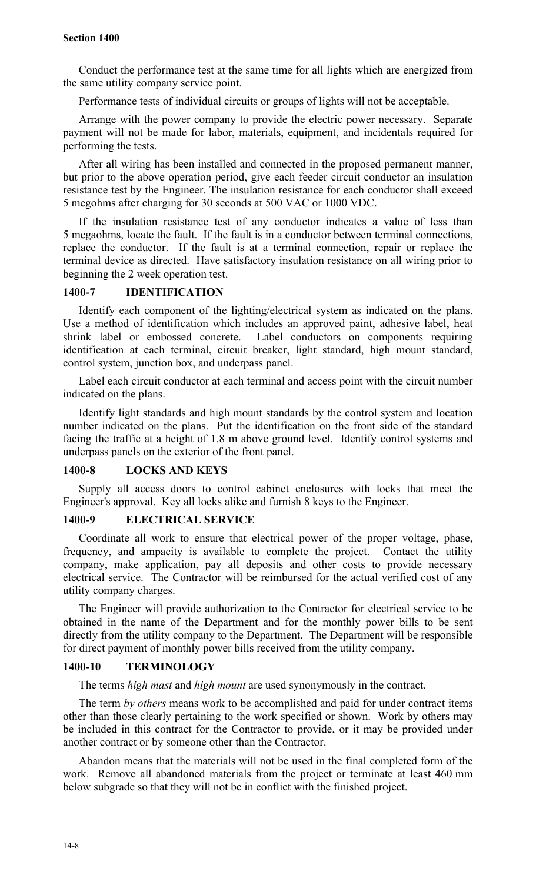Conduct the performance test at the same time for all lights which are energized from the same utility company service point.

Performance tests of individual circuits or groups of lights will not be acceptable.

Arrange with the power company to provide the electric power necessary. Separate payment will not be made for labor, materials, equipment, and incidentals required for performing the tests.

After all wiring has been installed and connected in the proposed permanent manner, but prior to the above operation period, give each feeder circuit conductor an insulation resistance test by the Engineer. The insulation resistance for each conductor shall exceed 5 megohms after charging for 30 seconds at 500 VAC or 1000 VDC.

If the insulation resistance test of any conductor indicates a value of less than 5 megaohms, locate the fault. If the fault is in a conductor between terminal connections, replace the conductor. If the fault is at a terminal connection, repair or replace the terminal device as directed. Have satisfactory insulation resistance on all wiring prior to beginning the 2 week operation test.

### **1400-7 IDENTIFICATION**

Identify each component of the lighting/electrical system as indicated on the plans. Use a method of identification which includes an approved paint, adhesive label, heat shrink label or embossed concrete. Label conductors on components requiring identification at each terminal, circuit breaker, light standard, high mount standard, control system, junction box, and underpass panel.

Label each circuit conductor at each terminal and access point with the circuit number indicated on the plans.

Identify light standards and high mount standards by the control system and location number indicated on the plans. Put the identification on the front side of the standard facing the traffic at a height of 1.8 m above ground level. Identify control systems and underpass panels on the exterior of the front panel.

#### **1400-8 LOCKS AND KEYS**

Supply all access doors to control cabinet enclosures with locks that meet the Engineer's approval. Key all locks alike and furnish 8 keys to the Engineer.

#### **1400-9 ELECTRICAL SERVICE**

Coordinate all work to ensure that electrical power of the proper voltage, phase, frequency, and ampacity is available to complete the project. Contact the utility company, make application, pay all deposits and other costs to provide necessary electrical service. The Contractor will be reimbursed for the actual verified cost of any utility company charges.

The Engineer will provide authorization to the Contractor for electrical service to be obtained in the name of the Department and for the monthly power bills to be sent directly from the utility company to the Department. The Department will be responsible for direct payment of monthly power bills received from the utility company.

#### **1400-10 TERMINOLOGY**

The terms *high mast* and *high mount* are used synonymously in the contract.

The term *by others* means work to be accomplished and paid for under contract items other than those clearly pertaining to the work specified or shown. Work by others may be included in this contract for the Contractor to provide, or it may be provided under another contract or by someone other than the Contractor.

Abandon means that the materials will not be used in the final completed form of the work. Remove all abandoned materials from the project or terminate at least 460 mm below subgrade so that they will not be in conflict with the finished project.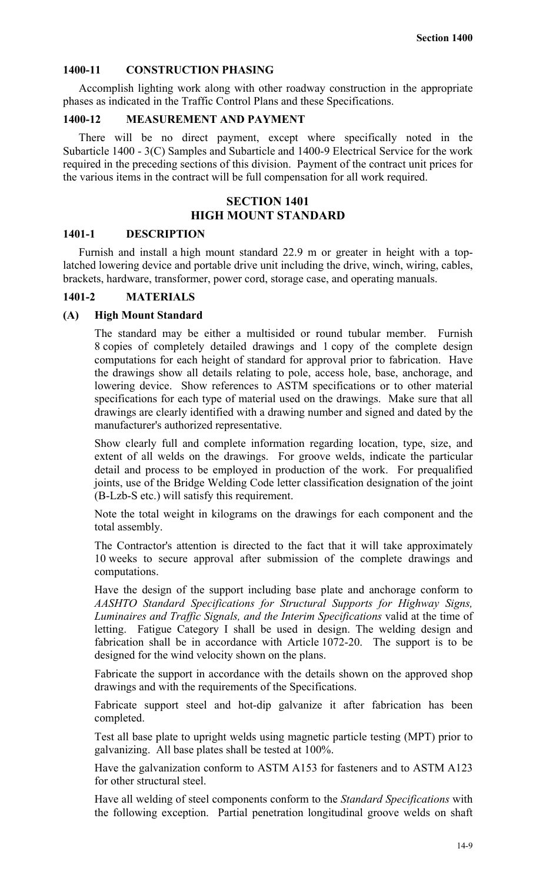# **1400-11 CONSTRUCTION PHASING**

Accomplish lighting work along with other roadway construction in the appropriate phases as indicated in the Traffic Control Plans and these Specifications.

#### **1400-12 MEASUREMENT AND PAYMENT**

There will be no direct payment, except where specifically noted in the Subarticle 1400 - 3(C) Samples and Subarticle and 1400-9 Electrical Service for the work required in the preceding sections of this division. Payment of the contract unit prices for the various items in the contract will be full compensation for all work required.

# **SECTION 1401 HIGH MOUNT STANDARD**

#### **1401-1 DESCRIPTION**

Furnish and install a high mount standard 22.9 m or greater in height with a toplatched lowering device and portable drive unit including the drive, winch, wiring, cables, brackets, hardware, transformer, power cord, storage case, and operating manuals.

#### **1401-2 MATERIALS**

#### **(A) High Mount Standard**

The standard may be either a multisided or round tubular member. Furnish 8 copies of completely detailed drawings and 1 copy of the complete design computations for each height of standard for approval prior to fabrication. Have the drawings show all details relating to pole, access hole, base, anchorage, and lowering device. Show references to ASTM specifications or to other material specifications for each type of material used on the drawings. Make sure that all drawings are clearly identified with a drawing number and signed and dated by the manufacturer's authorized representative.

Show clearly full and complete information regarding location, type, size, and extent of all welds on the drawings. For groove welds, indicate the particular detail and process to be employed in production of the work. For prequalified joints, use of the Bridge Welding Code letter classification designation of the joint (B-Lzb-S etc.) will satisfy this requirement.

Note the total weight in kilograms on the drawings for each component and the total assembly.

The Contractor's attention is directed to the fact that it will take approximately 10 weeks to secure approval after submission of the complete drawings and computations.

Have the design of the support including base plate and anchorage conform to *AASHTO Standard Specifications for Structural Supports for Highway Signs, Luminaires and Traffic Signals, and the Interim Specifications* valid at the time of letting. Fatigue Category I shall be used in design. The welding design and fabrication shall be in accordance with Article 1072-20. The support is to be designed for the wind velocity shown on the plans.

Fabricate the support in accordance with the details shown on the approved shop drawings and with the requirements of the Specifications.

Fabricate support steel and hot-dip galvanize it after fabrication has been completed.

Test all base plate to upright welds using magnetic particle testing (MPT) prior to galvanizing. All base plates shall be tested at 100%.

Have the galvanization conform to ASTM A153 for fasteners and to ASTM A123 for other structural steel.

Have all welding of steel components conform to the *Standard Specifications* with the following exception. Partial penetration longitudinal groove welds on shaft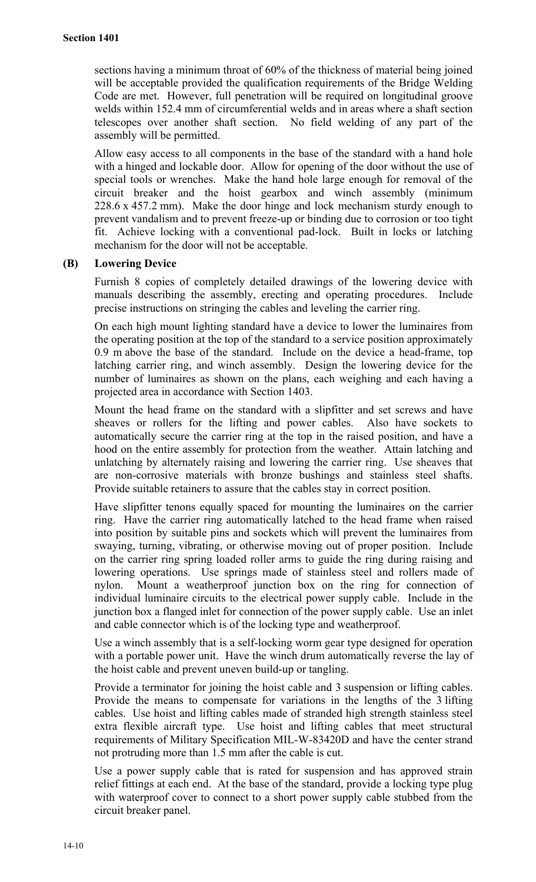sections having a minimum throat of 60% of the thickness of material being joined will be acceptable provided the qualification requirements of the Bridge Welding Code are met. However, full penetration will be required on longitudinal groove welds within 152.4 mm of circumferential welds and in areas where a shaft section telescopes over another shaft section. No field welding of any part of the assembly will be permitted.

Allow easy access to all components in the base of the standard with a hand hole with a hinged and lockable door. Allow for opening of the door without the use of special tools or wrenches. Make the hand hole large enough for removal of the circuit breaker and the hoist gearbox and winch assembly (minimum 228.6 x 457.2 mm). Make the door hinge and lock mechanism sturdy enough to prevent vandalism and to prevent freeze-up or binding due to corrosion or too tight fit. Achieve locking with a conventional pad-lock. Built in locks or latching mechanism for the door will not be acceptable.

# **(B) Lowering Device**

Furnish 8 copies of completely detailed drawings of the lowering device with manuals describing the assembly, erecting and operating procedures. Include precise instructions on stringing the cables and leveling the carrier ring.

On each high mount lighting standard have a device to lower the luminaires from the operating position at the top of the standard to a service position approximately 0.9 m above the base of the standard. Include on the device a head-frame, top latching carrier ring, and winch assembly. Design the lowering device for the number of luminaires as shown on the plans, each weighing and each having a projected area in accordance with Section 1403.

Mount the head frame on the standard with a slipfitter and set screws and have sheaves or rollers for the lifting and power cables. Also have sockets to automatically secure the carrier ring at the top in the raised position, and have a hood on the entire assembly for protection from the weather. Attain latching and unlatching by alternately raising and lowering the carrier ring. Use sheaves that are non-corrosive materials with bronze bushings and stainless steel shafts. Provide suitable retainers to assure that the cables stay in correct position.

Have slipfitter tenons equally spaced for mounting the luminaires on the carrier ring. Have the carrier ring automatically latched to the head frame when raised into position by suitable pins and sockets which will prevent the luminaires from swaying, turning, vibrating, or otherwise moving out of proper position. Include on the carrier ring spring loaded roller arms to guide the ring during raising and lowering operations. Use springs made of stainless steel and rollers made of nylon. Mount a weatherproof junction box on the ring for connection of individual luminaire circuits to the electrical power supply cable. Include in the junction box a flanged inlet for connection of the power supply cable. Use an inlet and cable connector which is of the locking type and weatherproof.

Use a winch assembly that is a self-locking worm gear type designed for operation with a portable power unit. Have the winch drum automatically reverse the lay of the hoist cable and prevent uneven build-up or tangling.

Provide a terminator for joining the hoist cable and 3 suspension or lifting cables. Provide the means to compensate for variations in the lengths of the 3 lifting cables. Use hoist and lifting cables made of stranded high strength stainless steel extra flexible aircraft type. Use hoist and lifting cables that meet structural requirements of Military Specification MIL-W-83420D and have the center strand not protruding more than 1.5 mm after the cable is cut.

Use a power supply cable that is rated for suspension and has approved strain relief fittings at each end. At the base of the standard, provide a locking type plug with waterproof cover to connect to a short power supply cable stubbed from the circuit breaker panel.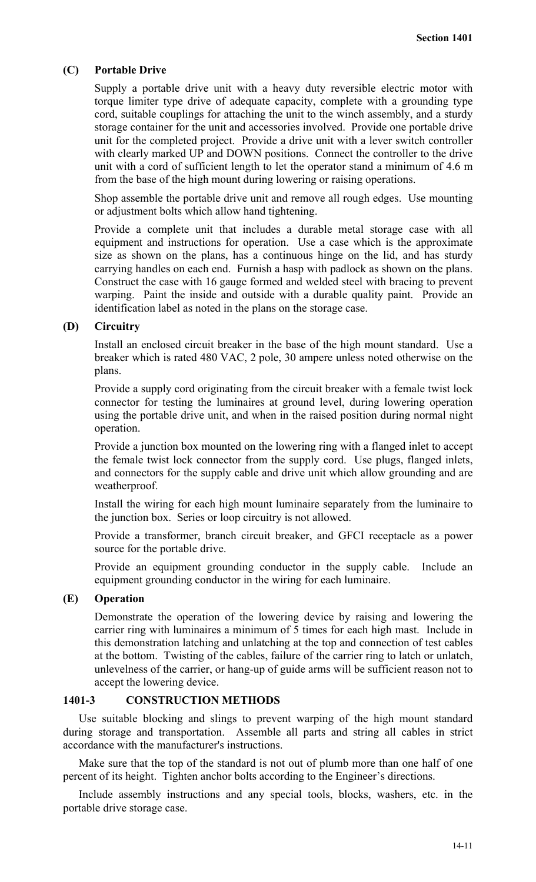#### **(C) Portable Drive**

Supply a portable drive unit with a heavy duty reversible electric motor with torque limiter type drive of adequate capacity, complete with a grounding type cord, suitable couplings for attaching the unit to the winch assembly, and a sturdy storage container for the unit and accessories involved. Provide one portable drive unit for the completed project. Provide a drive unit with a lever switch controller with clearly marked UP and DOWN positions. Connect the controller to the drive unit with a cord of sufficient length to let the operator stand a minimum of 4.6 m from the base of the high mount during lowering or raising operations.

Shop assemble the portable drive unit and remove all rough edges. Use mounting or adjustment bolts which allow hand tightening.

Provide a complete unit that includes a durable metal storage case with all equipment and instructions for operation. Use a case which is the approximate size as shown on the plans, has a continuous hinge on the lid, and has sturdy carrying handles on each end. Furnish a hasp with padlock as shown on the plans. Construct the case with 16 gauge formed and welded steel with bracing to prevent warping. Paint the inside and outside with a durable quality paint. Provide an identification label as noted in the plans on the storage case.

#### **(D) Circuitry**

Install an enclosed circuit breaker in the base of the high mount standard. Use a breaker which is rated 480 VAC, 2 pole, 30 ampere unless noted otherwise on the plans.

Provide a supply cord originating from the circuit breaker with a female twist lock connector for testing the luminaires at ground level, during lowering operation using the portable drive unit, and when in the raised position during normal night operation.

Provide a junction box mounted on the lowering ring with a flanged inlet to accept the female twist lock connector from the supply cord. Use plugs, flanged inlets, and connectors for the supply cable and drive unit which allow grounding and are weatherproof.

Install the wiring for each high mount luminaire separately from the luminaire to the junction box. Series or loop circuitry is not allowed.

Provide a transformer, branch circuit breaker, and GFCI receptacle as a power source for the portable drive.

Provide an equipment grounding conductor in the supply cable. Include an equipment grounding conductor in the wiring for each luminaire.

#### **(E) Operation**

Demonstrate the operation of the lowering device by raising and lowering the carrier ring with luminaires a minimum of 5 times for each high mast. Include in this demonstration latching and unlatching at the top and connection of test cables at the bottom. Twisting of the cables, failure of the carrier ring to latch or unlatch, unlevelness of the carrier, or hang-up of guide arms will be sufficient reason not to accept the lowering device.

#### **1401-3 CONSTRUCTION METHODS**

Use suitable blocking and slings to prevent warping of the high mount standard during storage and transportation. Assemble all parts and string all cables in strict accordance with the manufacturer's instructions.

Make sure that the top of the standard is not out of plumb more than one half of one percent of its height. Tighten anchor bolts according to the Engineer's directions.

Include assembly instructions and any special tools, blocks, washers, etc. in the portable drive storage case.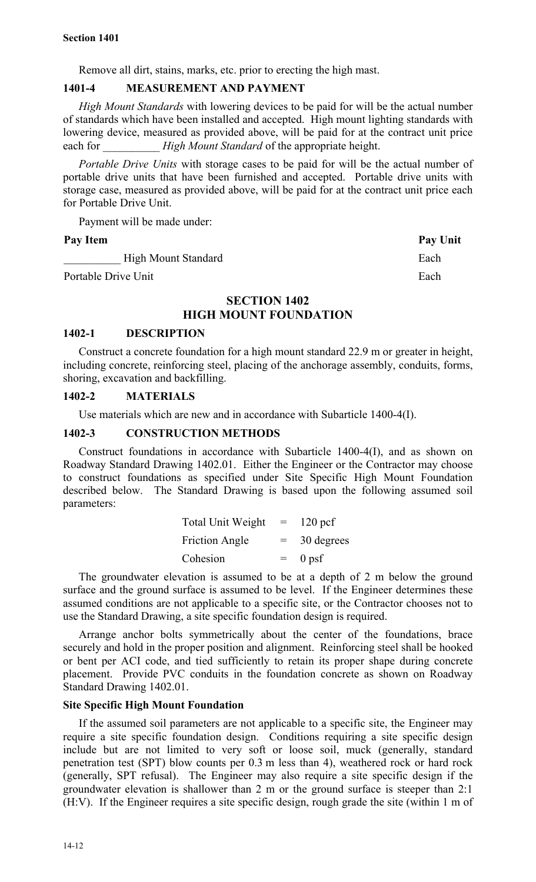Remove all dirt, stains, marks, etc. prior to erecting the high mast.

#### **1401-4 MEASUREMENT AND PAYMENT**

*High Mount Standards* with lowering devices to be paid for will be the actual number of standards which have been installed and accepted. High mount lighting standards with lowering device, measured as provided above, will be paid for at the contract unit price each for *High Mount Standard* of the appropriate height.

*Portable Drive Units* with storage cases to be paid for will be the actual number of portable drive units that have been furnished and accepted. Portable drive units with storage case, measured as provided above, will be paid for at the contract unit price each for Portable Drive Unit.

Payment will be made under:

#### Pay Item Pay Unit

High Mount Standard Each

Portable Drive Unit **Each** example 2 and the Each example 2 and the Each example 2 and Each example 2 and Each example 2 and Each example 2 and Each example 2 and Each example 2 and Each example 2 and Each example 2 and 2

# **SECTION 1402 HIGH MOUNT FOUNDATION**

#### **1402-1 DESCRIPTION**

Construct a concrete foundation for a high mount standard 22.9 m or greater in height, including concrete, reinforcing steel, placing of the anchorage assembly, conduits, forms, shoring, excavation and backfilling.

#### **1402-2 MATERIALS**

Use materials which are new and in accordance with Subarticle 1400-4(I).

#### **1402-3 CONSTRUCTION METHODS**

Construct foundations in accordance with Subarticle 1400-4(I), and as shown on Roadway Standard Drawing 1402.01. Either the Engineer or the Contractor may choose to construct foundations as specified under Site Specific High Mount Foundation described below. The Standard Drawing is based upon the following assumed soil parameters:

| <b>Total Unit Weight</b> | $=$ | $120$ pcf  |
|--------------------------|-----|------------|
| <b>Friction Angle</b>    | $=$ | 30 degrees |
| Cohesion                 | $=$ | $0$ psf    |

The groundwater elevation is assumed to be at a depth of 2 m below the ground surface and the ground surface is assumed to be level. If the Engineer determines these assumed conditions are not applicable to a specific site, or the Contractor chooses not to use the Standard Drawing, a site specific foundation design is required.

Arrange anchor bolts symmetrically about the center of the foundations, brace securely and hold in the proper position and alignment. Reinforcing steel shall be hooked or bent per ACI code, and tied sufficiently to retain its proper shape during concrete placement. Provide PVC conduits in the foundation concrete as shown on Roadway Standard Drawing 1402.01.

#### **Site Specific High Mount Foundation**

If the assumed soil parameters are not applicable to a specific site, the Engineer may require a site specific foundation design. Conditions requiring a site specific design include but are not limited to very soft or loose soil, muck (generally, standard penetration test (SPT) blow counts per 0.3 m less than 4), weathered rock or hard rock (generally, SPT refusal). The Engineer may also require a site specific design if the groundwater elevation is shallower than 2 m or the ground surface is steeper than 2:1 (H:V). If the Engineer requires a site specific design, rough grade the site (within 1 m of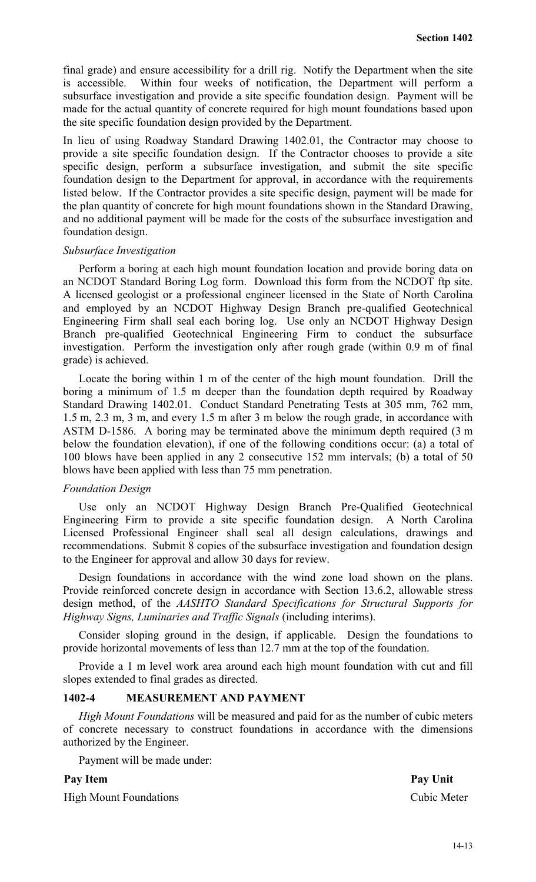final grade) and ensure accessibility for a drill rig. Notify the Department when the site is accessible. Within four weeks of notification, the Department will perform a subsurface investigation and provide a site specific foundation design. Payment will be made for the actual quantity of concrete required for high mount foundations based upon the site specific foundation design provided by the Department.

In lieu of using Roadway Standard Drawing 1402.01, the Contractor may choose to provide a site specific foundation design. If the Contractor chooses to provide a site specific design, perform a subsurface investigation, and submit the site specific foundation design to the Department for approval, in accordance with the requirements listed below. If the Contractor provides a site specific design, payment will be made for the plan quantity of concrete for high mount foundations shown in the Standard Drawing, and no additional payment will be made for the costs of the subsurface investigation and foundation design.

#### *Subsurface Investigation*

Perform a boring at each high mount foundation location and provide boring data on an NCDOT Standard Boring Log form. Download this form from the NCDOT ftp site. A licensed geologist or a professional engineer licensed in the State of North Carolina and employed by an NCDOT Highway Design Branch pre-qualified Geotechnical Engineering Firm shall seal each boring log. Use only an NCDOT Highway Design Branch pre-qualified Geotechnical Engineering Firm to conduct the subsurface investigation. Perform the investigation only after rough grade (within 0.9 m of final grade) is achieved.

Locate the boring within 1 m of the center of the high mount foundation. Drill the boring a minimum of 1.5 m deeper than the foundation depth required by Roadway Standard Drawing 1402.01. Conduct Standard Penetrating Tests at 305 mm, 762 mm, 1.5 m, 2.3 m, 3 m, and every 1.5 m after 3 m below the rough grade, in accordance with ASTM D-1586. A boring may be terminated above the minimum depth required (3 m below the foundation elevation), if one of the following conditions occur: (a) a total of 100 blows have been applied in any 2 consecutive 152 mm intervals; (b) a total of 50 blows have been applied with less than 75 mm penetration.

#### *Foundation Design*

Use only an NCDOT Highway Design Branch Pre-Qualified Geotechnical Engineering Firm to provide a site specific foundation design. A North Carolina Licensed Professional Engineer shall seal all design calculations, drawings and recommendations. Submit 8 copies of the subsurface investigation and foundation design to the Engineer for approval and allow 30 days for review.

Design foundations in accordance with the wind zone load shown on the plans. Provide reinforced concrete design in accordance with Section 13.6.2, allowable stress design method, of the *AASHTO Standard Specifications for Structural Supports for Highway Signs, Luminaries and Traffic Signals* (including interims).

Consider sloping ground in the design, if applicable. Design the foundations to provide horizontal movements of less than 12.7 mm at the top of the foundation.

Provide a 1 m level work area around each high mount foundation with cut and fill slopes extended to final grades as directed.

#### **1402-4 MEASUREMENT AND PAYMENT**

*High Mount Foundations* will be measured and paid for as the number of cubic meters of concrete necessary to construct foundations in accordance with the dimensions authorized by the Engineer.

Payment will be made under:

High Mount Foundations Cubic Meter

Pay Item Pay Unit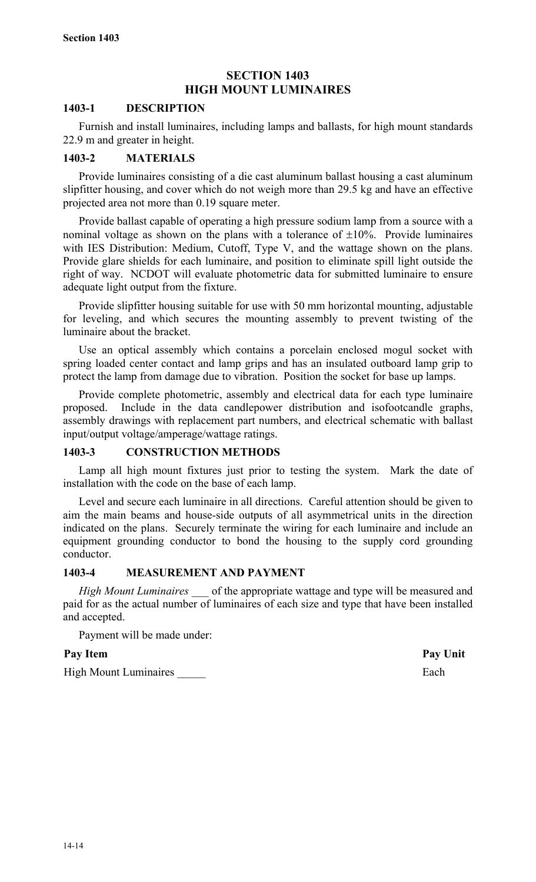# **SECTION 1403 HIGH MOUNT LUMINAIRES**

# **1403-1 DESCRIPTION**

Furnish and install luminaires, including lamps and ballasts, for high mount standards 22.9 m and greater in height.

# **1403-2 MATERIALS**

Provide luminaires consisting of a die cast aluminum ballast housing a cast aluminum slipfitter housing, and cover which do not weigh more than 29.5 kg and have an effective projected area not more than 0.19 square meter.

Provide ballast capable of operating a high pressure sodium lamp from a source with a nominal voltage as shown on the plans with a tolerance of  $\pm 10\%$ . Provide luminaires with IES Distribution: Medium, Cutoff, Type V, and the wattage shown on the plans. Provide glare shields for each luminaire, and position to eliminate spill light outside the right of way. NCDOT will evaluate photometric data for submitted luminaire to ensure adequate light output from the fixture.

Provide slipfitter housing suitable for use with 50 mm horizontal mounting, adjustable for leveling, and which secures the mounting assembly to prevent twisting of the luminaire about the bracket.

Use an optical assembly which contains a porcelain enclosed mogul socket with spring loaded center contact and lamp grips and has an insulated outboard lamp grip to protect the lamp from damage due to vibration. Position the socket for base up lamps.

Provide complete photometric, assembly and electrical data for each type luminaire proposed. Include in the data candlepower distribution and isofootcandle graphs, assembly drawings with replacement part numbers, and electrical schematic with ballast input/output voltage/amperage/wattage ratings.

# **1403-3 CONSTRUCTION METHODS**

Lamp all high mount fixtures just prior to testing the system. Mark the date of installation with the code on the base of each lamp.

Level and secure each luminaire in all directions. Careful attention should be given to aim the main beams and house-side outputs of all asymmetrical units in the direction indicated on the plans. Securely terminate the wiring for each luminaire and include an equipment grounding conductor to bond the housing to the supply cord grounding conductor.

# **1403-4 MEASUREMENT AND PAYMENT**

*High Mount Luminaires* of the appropriate wattage and type will be measured and paid for as the actual number of luminaires of each size and type that have been installed and accepted.

Payment will be made under:

# Pay Item **Pay Unit**

High Mount Luminaires **Each**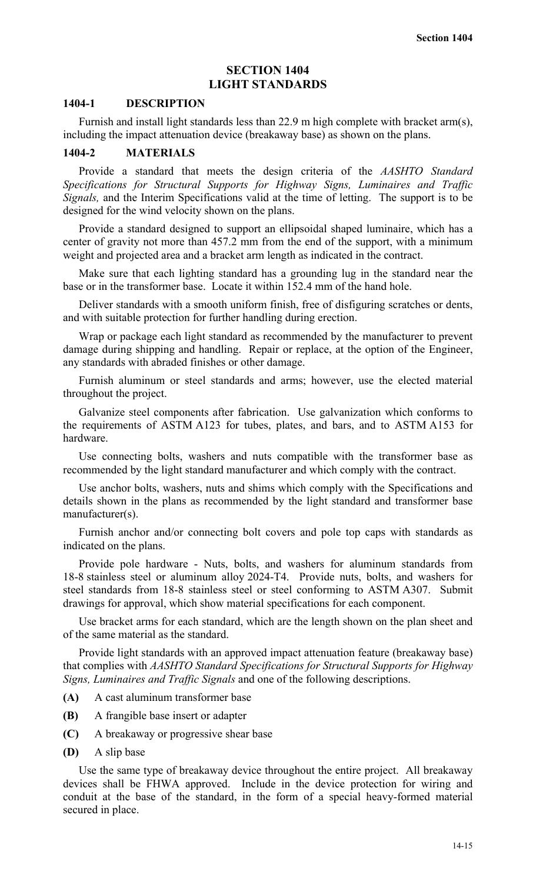# **SECTION 1404 LIGHT STANDARDS**

#### **1404-1 DESCRIPTION**

Furnish and install light standards less than 22.9 m high complete with bracket arm(s), including the impact attenuation device (breakaway base) as shown on the plans.

#### **1404-2 MATERIALS**

Provide a standard that meets the design criteria of the *AASHTO Standard Specifications for Structural Supports for Highway Signs, Luminaires and Traffic Signals,* and the Interim Specifications valid at the time of letting. The support is to be designed for the wind velocity shown on the plans.

Provide a standard designed to support an ellipsoidal shaped luminaire, which has a center of gravity not more than 457.2 mm from the end of the support, with a minimum weight and projected area and a bracket arm length as indicated in the contract.

Make sure that each lighting standard has a grounding lug in the standard near the base or in the transformer base. Locate it within 152.4 mm of the hand hole.

Deliver standards with a smooth uniform finish, free of disfiguring scratches or dents, and with suitable protection for further handling during erection.

Wrap or package each light standard as recommended by the manufacturer to prevent damage during shipping and handling. Repair or replace, at the option of the Engineer, any standards with abraded finishes or other damage.

Furnish aluminum or steel standards and arms; however, use the elected material throughout the project.

Galvanize steel components after fabrication. Use galvanization which conforms to the requirements of ASTM A123 for tubes, plates, and bars, and to ASTM A153 for hardware.

Use connecting bolts, washers and nuts compatible with the transformer base as recommended by the light standard manufacturer and which comply with the contract.

Use anchor bolts, washers, nuts and shims which comply with the Specifications and details shown in the plans as recommended by the light standard and transformer base manufacturer(s).

Furnish anchor and/or connecting bolt covers and pole top caps with standards as indicated on the plans.

Provide pole hardware - Nuts, bolts, and washers for aluminum standards from 18-8 stainless steel or aluminum alloy 2024-T4. Provide nuts, bolts, and washers for steel standards from 18-8 stainless steel or steel conforming to ASTM A307. Submit drawings for approval, which show material specifications for each component.

Use bracket arms for each standard, which are the length shown on the plan sheet and of the same material as the standard.

Provide light standards with an approved impact attenuation feature (breakaway base) that complies with *AASHTO Standard Specifications for Structural Supports for Highway Signs, Luminaires and Traffic Signals* and one of the following descriptions.

- **(A)** A cast aluminum transformer base
- **(B)** A frangible base insert or adapter
- **(C)** A breakaway or progressive shear base
- **(D)** A slip base

Use the same type of breakaway device throughout the entire project. All breakaway devices shall be FHWA approved. Include in the device protection for wiring and conduit at the base of the standard, in the form of a special heavy-formed material secured in place.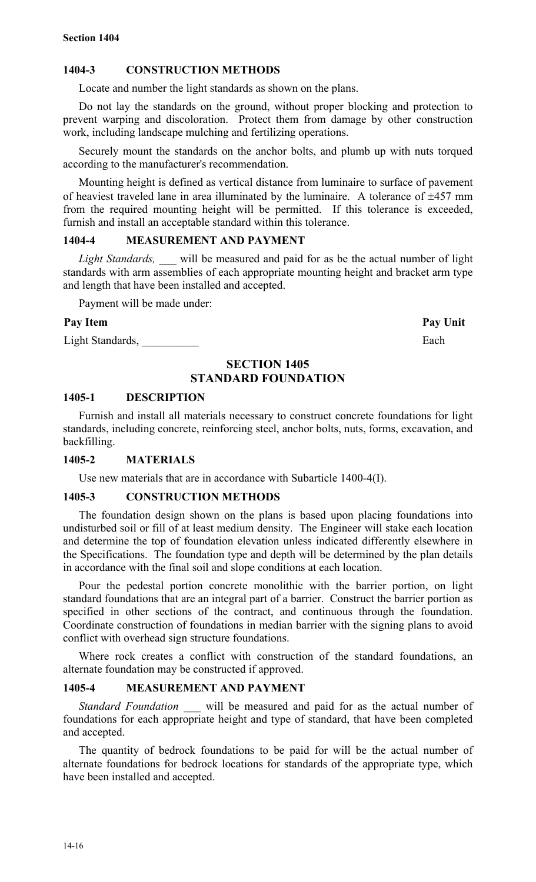# **1404-3 CONSTRUCTION METHODS**

Locate and number the light standards as shown on the plans.

Do not lay the standards on the ground, without proper blocking and protection to prevent warping and discoloration. Protect them from damage by other construction work, including landscape mulching and fertilizing operations.

Securely mount the standards on the anchor bolts, and plumb up with nuts torqued according to the manufacturer's recommendation.

Mounting height is defined as vertical distance from luminaire to surface of pavement of heaviest traveled lane in area illuminated by the luminaire. A tolerance of  $\pm 457$  mm from the required mounting height will be permitted. If this tolerance is exceeded, furnish and install an acceptable standard within this tolerance.

#### **1404-4 MEASUREMENT AND PAYMENT**

*Light Standards, \_\_\_* will be measured and paid for as be the actual number of light standards with arm assemblies of each appropriate mounting height and bracket arm type and length that have been installed and accepted.

Payment will be made under:

#### Pay Item **Pay Unit**

Light Standards, Each

# **SECTION 1405 STANDARD FOUNDATION**

#### **1405-1 DESCRIPTION**

Furnish and install all materials necessary to construct concrete foundations for light standards, including concrete, reinforcing steel, anchor bolts, nuts, forms, excavation, and backfilling.

# **1405-2 MATERIALS**

Use new materials that are in accordance with Subarticle 1400-4(I).

# **1405-3 CONSTRUCTION METHODS**

The foundation design shown on the plans is based upon placing foundations into undisturbed soil or fill of at least medium density. The Engineer will stake each location and determine the top of foundation elevation unless indicated differently elsewhere in the Specifications. The foundation type and depth will be determined by the plan details in accordance with the final soil and slope conditions at each location.

Pour the pedestal portion concrete monolithic with the barrier portion, on light standard foundations that are an integral part of a barrier. Construct the barrier portion as specified in other sections of the contract, and continuous through the foundation. Coordinate construction of foundations in median barrier with the signing plans to avoid conflict with overhead sign structure foundations.

Where rock creates a conflict with construction of the standard foundations, an alternate foundation may be constructed if approved.

#### **1405-4 MEASUREMENT AND PAYMENT**

*Standard Foundation* \_\_\_ will be measured and paid for as the actual number of foundations for each appropriate height and type of standard, that have been completed and accepted.

The quantity of bedrock foundations to be paid for will be the actual number of alternate foundations for bedrock locations for standards of the appropriate type, which have been installed and accepted.

14-16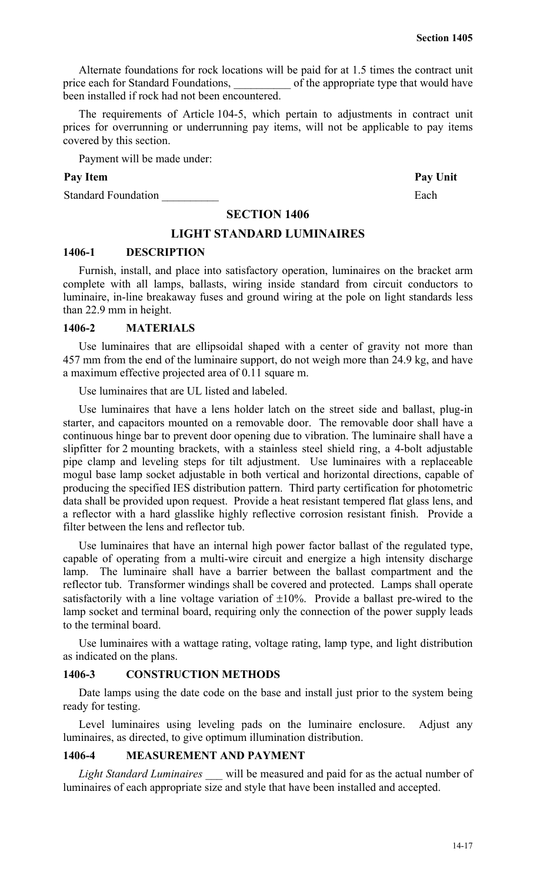Alternate foundations for rock locations will be paid for at 1.5 times the contract unit price each for Standard Foundations, of the appropriate type that would have been installed if rock had not been encountered.

The requirements of Article 104-5, which pertain to adjustments in contract unit prices for overrunning or underrunning pay items, will not be applicable to pay items covered by this section.

Payment will be made under:

# Pay Item Pay Unit

Standard Foundation **Each** 

# **SECTION 1406**

# **LIGHT STANDARD LUMINAIRES**

# **1406-1 DESCRIPTION**

Furnish, install, and place into satisfactory operation, luminaires on the bracket arm complete with all lamps, ballasts, wiring inside standard from circuit conductors to luminaire, in-line breakaway fuses and ground wiring at the pole on light standards less than 22.9 mm in height.

# **1406-2 MATERIALS**

Use luminaires that are ellipsoidal shaped with a center of gravity not more than 457 mm from the end of the luminaire support, do not weigh more than 24.9 kg, and have a maximum effective projected area of 0.11 square m.

Use luminaires that are UL listed and labeled.

Use luminaires that have a lens holder latch on the street side and ballast, plug-in starter, and capacitors mounted on a removable door. The removable door shall have a continuous hinge bar to prevent door opening due to vibration. The luminaire shall have a slipfitter for 2 mounting brackets, with a stainless steel shield ring, a 4-bolt adjustable pipe clamp and leveling steps for tilt adjustment. Use luminaires with a replaceable mogul base lamp socket adjustable in both vertical and horizontal directions, capable of producing the specified IES distribution pattern. Third party certification for photometric data shall be provided upon request. Provide a heat resistant tempered flat glass lens, and a reflector with a hard glasslike highly reflective corrosion resistant finish. Provide a filter between the lens and reflector tub.

Use luminaires that have an internal high power factor ballast of the regulated type, capable of operating from a multi-wire circuit and energize a high intensity discharge lamp. The luminaire shall have a barrier between the ballast compartment and the reflector tub. Transformer windings shall be covered and protected. Lamps shall operate satisfactorily with a line voltage variation of  $\pm 10\%$ . Provide a ballast pre-wired to the lamp socket and terminal board, requiring only the connection of the power supply leads to the terminal board.

Use luminaires with a wattage rating, voltage rating, lamp type, and light distribution as indicated on the plans.

# **1406-3 CONSTRUCTION METHODS**

Date lamps using the date code on the base and install just prior to the system being ready for testing.

Level luminaires using leveling pads on the luminaire enclosure. Adjust any luminaires, as directed, to give optimum illumination distribution.

# **1406-4 MEASUREMENT AND PAYMENT**

*Light Standard Luminaires* \_\_\_ will be measured and paid for as the actual number of luminaires of each appropriate size and style that have been installed and accepted.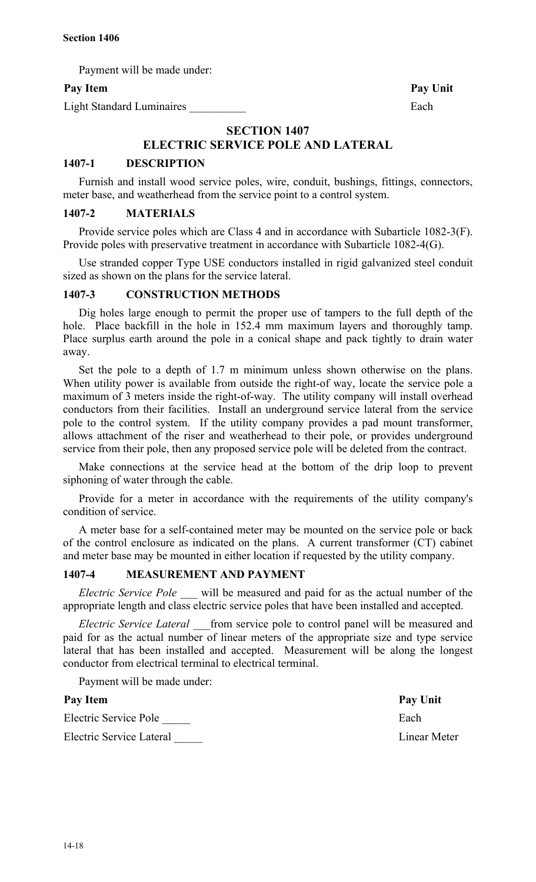Payment will be made under:

Light Standard Luminaires **Each** 

Pay Item Pay Unit

# **SECTION 1407 ELECTRIC SERVICE POLE AND LATERAL**

# **1407-1 DESCRIPTION**

Furnish and install wood service poles, wire, conduit, bushings, fittings, connectors, meter base, and weatherhead from the service point to a control system.

#### **1407-2 MATERIALS**

Provide service poles which are Class 4 and in accordance with Subarticle 1082-3(F). Provide poles with preservative treatment in accordance with Subarticle 1082-4(G).

Use stranded copper Type USE conductors installed in rigid galvanized steel conduit sized as shown on the plans for the service lateral.

#### **1407-3 CONSTRUCTION METHODS**

Dig holes large enough to permit the proper use of tampers to the full depth of the hole. Place backfill in the hole in 152.4 mm maximum layers and thoroughly tamp. Place surplus earth around the pole in a conical shape and pack tightly to drain water away.

Set the pole to a depth of 1.7 m minimum unless shown otherwise on the plans. When utility power is available from outside the right-of way, locate the service pole a maximum of 3 meters inside the right-of-way. The utility company will install overhead conductors from their facilities. Install an underground service lateral from the service pole to the control system. If the utility company provides a pad mount transformer, allows attachment of the riser and weatherhead to their pole, or provides underground service from their pole, then any proposed service pole will be deleted from the contract.

Make connections at the service head at the bottom of the drip loop to prevent siphoning of water through the cable.

Provide for a meter in accordance with the requirements of the utility company's condition of service.

A meter base for a self-contained meter may be mounted on the service pole or back of the control enclosure as indicated on the plans. A current transformer (CT) cabinet and meter base may be mounted in either location if requested by the utility company.

# **1407-4 MEASUREMENT AND PAYMENT**

*Electric Service Pole* will be measured and paid for as the actual number of the appropriate length and class electric service poles that have been installed and accepted.

*Electric Service Lateral* from service pole to control panel will be measured and paid for as the actual number of linear meters of the appropriate size and type service lateral that has been installed and accepted. Measurement will be along the longest conductor from electrical terminal to electrical terminal.

Payment will be made under:

# Pay Item Pay Unit Electric Service Pole **Each**

Electric Service Lateral \_\_\_\_\_ Linear Meter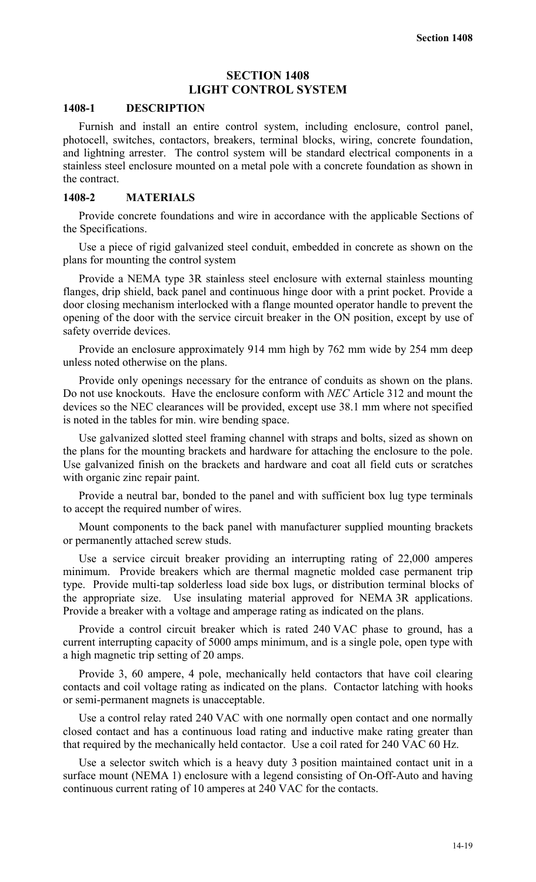# **SECTION 1408 LIGHT CONTROL SYSTEM**

#### **1408-1 DESCRIPTION**

Furnish and install an entire control system, including enclosure, control panel, photocell, switches, contactors, breakers, terminal blocks, wiring, concrete foundation, and lightning arrester. The control system will be standard electrical components in a stainless steel enclosure mounted on a metal pole with a concrete foundation as shown in the contract.

#### **1408-2 MATERIALS**

Provide concrete foundations and wire in accordance with the applicable Sections of the Specifications.

Use a piece of rigid galvanized steel conduit, embedded in concrete as shown on the plans for mounting the control system

Provide a NEMA type 3R stainless steel enclosure with external stainless mounting flanges, drip shield, back panel and continuous hinge door with a print pocket. Provide a door closing mechanism interlocked with a flange mounted operator handle to prevent the opening of the door with the service circuit breaker in the ON position, except by use of safety override devices.

Provide an enclosure approximately 914 mm high by 762 mm wide by 254 mm deep unless noted otherwise on the plans.

Provide only openings necessary for the entrance of conduits as shown on the plans. Do not use knockouts. Have the enclosure conform with *NEC* Article 312 and mount the devices so the NEC clearances will be provided, except use 38.1 mm where not specified is noted in the tables for min. wire bending space.

Use galvanized slotted steel framing channel with straps and bolts, sized as shown on the plans for the mounting brackets and hardware for attaching the enclosure to the pole. Use galvanized finish on the brackets and hardware and coat all field cuts or scratches with organic zinc repair paint.

Provide a neutral bar, bonded to the panel and with sufficient box lug type terminals to accept the required number of wires.

Mount components to the back panel with manufacturer supplied mounting brackets or permanently attached screw studs.

Use a service circuit breaker providing an interrupting rating of 22,000 amperes minimum. Provide breakers which are thermal magnetic molded case permanent trip type. Provide multi-tap solderless load side box lugs, or distribution terminal blocks of the appropriate size. Use insulating material approved for NEMA 3R applications. Provide a breaker with a voltage and amperage rating as indicated on the plans.

Provide a control circuit breaker which is rated 240 VAC phase to ground, has a current interrupting capacity of 5000 amps minimum, and is a single pole, open type with a high magnetic trip setting of 20 amps.

Provide 3, 60 ampere, 4 pole, mechanically held contactors that have coil clearing contacts and coil voltage rating as indicated on the plans. Contactor latching with hooks or semi-permanent magnets is unacceptable.

Use a control relay rated 240 VAC with one normally open contact and one normally closed contact and has a continuous load rating and inductive make rating greater than that required by the mechanically held contactor. Use a coil rated for 240 VAC 60 Hz.

Use a selector switch which is a heavy duty 3 position maintained contact unit in a surface mount (NEMA 1) enclosure with a legend consisting of On-Off-Auto and having continuous current rating of 10 amperes at 240 VAC for the contacts.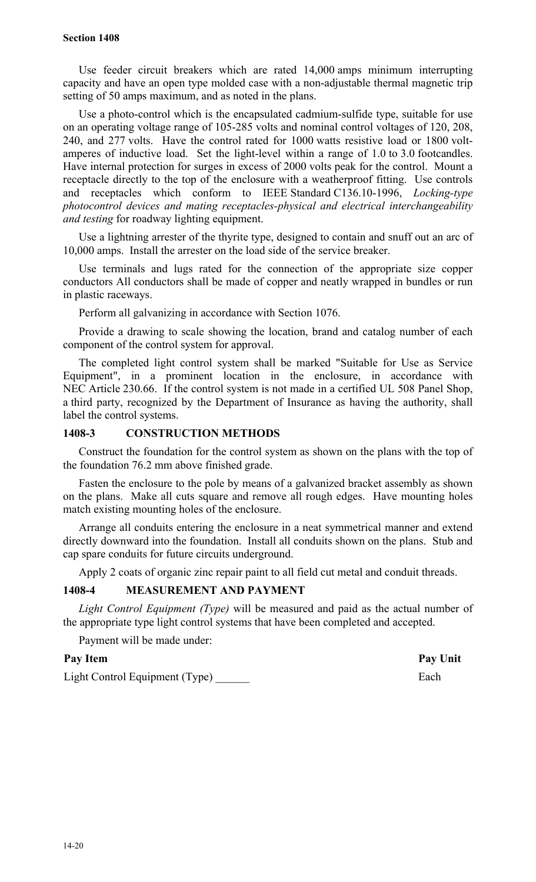#### **Section 1408**

Use feeder circuit breakers which are rated 14,000 amps minimum interrupting capacity and have an open type molded case with a non-adjustable thermal magnetic trip setting of 50 amps maximum, and as noted in the plans.

Use a photo-control which is the encapsulated cadmium-sulfide type, suitable for use on an operating voltage range of 105-285 volts and nominal control voltages of 120, 208, 240, and 277 volts. Have the control rated for 1000 watts resistive load or 1800 voltamperes of inductive load. Set the light-level within a range of 1.0 to 3.0 footcandles. Have internal protection for surges in excess of 2000 volts peak for the control. Mount a receptacle directly to the top of the enclosure with a weatherproof fitting. Use controls and receptacles which conform to IEEE Standard C136.10-1996, *Locking-type photocontrol devices and mating receptacles-physical and electrical interchangeability and testing* for roadway lighting equipment.

Use a lightning arrester of the thyrite type, designed to contain and snuff out an arc of 10,000 amps. Install the arrester on the load side of the service breaker.

Use terminals and lugs rated for the connection of the appropriate size copper conductors All conductors shall be made of copper and neatly wrapped in bundles or run in plastic raceways.

Perform all galvanizing in accordance with Section 1076.

Provide a drawing to scale showing the location, brand and catalog number of each component of the control system for approval.

The completed light control system shall be marked "Suitable for Use as Service Equipment", in a prominent location in the enclosure, in accordance with NEC Article 230.66. If the control system is not made in a certified UL 508 Panel Shop, a third party, recognized by the Department of Insurance as having the authority, shall label the control systems.

# **1408-3 CONSTRUCTION METHODS**

Construct the foundation for the control system as shown on the plans with the top of the foundation 76.2 mm above finished grade.

Fasten the enclosure to the pole by means of a galvanized bracket assembly as shown on the plans. Make all cuts square and remove all rough edges. Have mounting holes match existing mounting holes of the enclosure.

Arrange all conduits entering the enclosure in a neat symmetrical manner and extend directly downward into the foundation. Install all conduits shown on the plans. Stub and cap spare conduits for future circuits underground.

Apply 2 coats of organic zinc repair paint to all field cut metal and conduit threads.

# **1408-4 MEASUREMENT AND PAYMENT**

*Light Control Equipment (Type)* will be measured and paid as the actual number of the appropriate type light control systems that have been completed and accepted.

Payment will be made under:

#### Pay Item Pay Unit

Light Control Equipment (Type) **Each**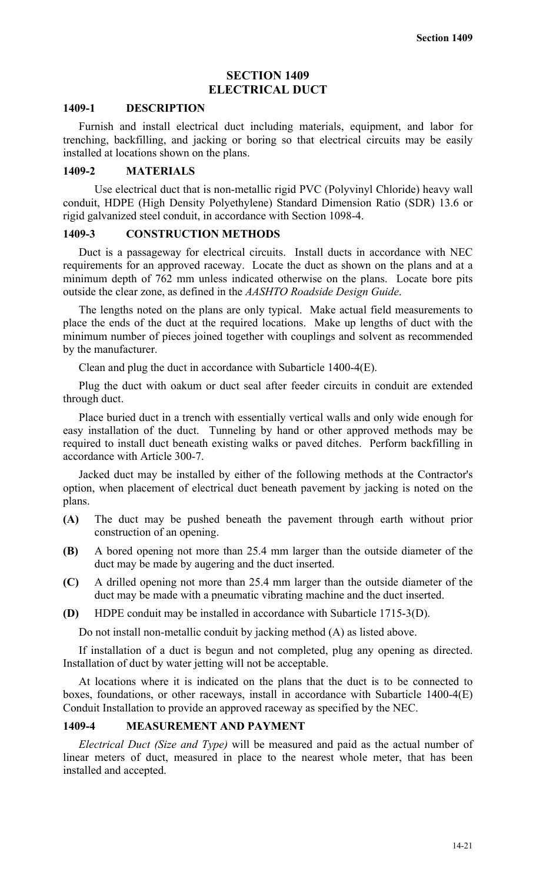# **SECTION 1409 ELECTRICAL DUCT**

#### **1409-1 DESCRIPTION**

Furnish and install electrical duct including materials, equipment, and labor for trenching, backfilling, and jacking or boring so that electrical circuits may be easily installed at locations shown on the plans.

#### **1409-2 MATERIALS**

Use electrical duct that is non-metallic rigid PVC (Polyvinyl Chloride) heavy wall conduit, HDPE (High Density Polyethylene) Standard Dimension Ratio (SDR) 13.6 or rigid galvanized steel conduit, in accordance with Section 1098-4.

#### **1409-3 CONSTRUCTION METHODS**

Duct is a passageway for electrical circuits. Install ducts in accordance with NEC requirements for an approved raceway. Locate the duct as shown on the plans and at a minimum depth of 762 mm unless indicated otherwise on the plans. Locate bore pits outside the clear zone, as defined in the *AASHTO Roadside Design Guide*.

The lengths noted on the plans are only typical. Make actual field measurements to place the ends of the duct at the required locations. Make up lengths of duct with the minimum number of pieces joined together with couplings and solvent as recommended by the manufacturer.

Clean and plug the duct in accordance with Subarticle 1400-4(E).

Plug the duct with oakum or duct seal after feeder circuits in conduit are extended through duct.

Place buried duct in a trench with essentially vertical walls and only wide enough for easy installation of the duct. Tunneling by hand or other approved methods may be required to install duct beneath existing walks or paved ditches. Perform backfilling in accordance with Article 300-7.

Jacked duct may be installed by either of the following methods at the Contractor's option, when placement of electrical duct beneath pavement by jacking is noted on the plans.

- **(A)** The duct may be pushed beneath the pavement through earth without prior construction of an opening.
- **(B)** A bored opening not more than 25.4 mm larger than the outside diameter of the duct may be made by augering and the duct inserted.
- **(C)** A drilled opening not more than 25.4 mm larger than the outside diameter of the duct may be made with a pneumatic vibrating machine and the duct inserted.
- **(D)** HDPE conduit may be installed in accordance with Subarticle 1715-3(D).

Do not install non-metallic conduit by jacking method (A) as listed above.

If installation of a duct is begun and not completed, plug any opening as directed. Installation of duct by water jetting will not be acceptable.

At locations where it is indicated on the plans that the duct is to be connected to boxes, foundations, or other raceways, install in accordance with Subarticle 1400-4(E) Conduit Installation to provide an approved raceway as specified by the NEC.

#### **1409-4 MEASUREMENT AND PAYMENT**

*Electrical Duct (Size and Type)* will be measured and paid as the actual number of linear meters of duct, measured in place to the nearest whole meter, that has been installed and accepted.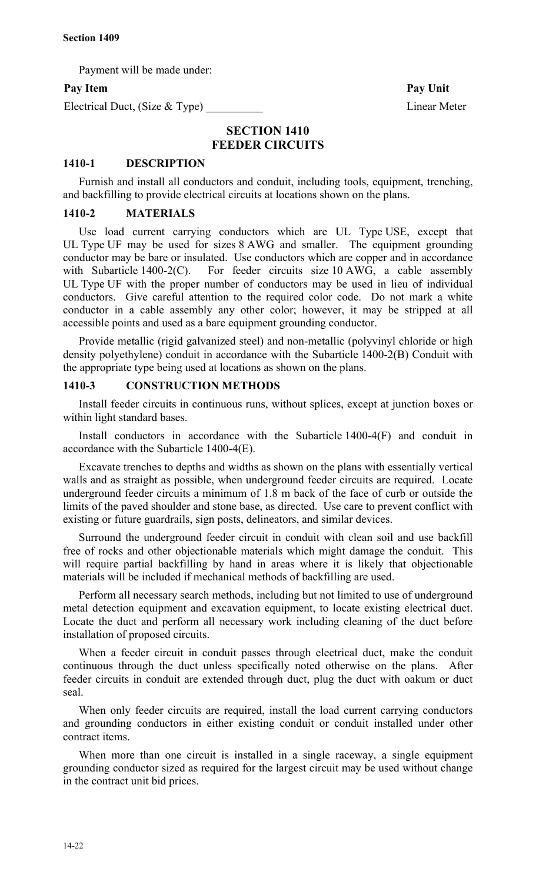Payment will be made under:

# Pay Item Pay Unit

Electrical Duct, (Size & Type) Linear Meter

# **SECTION 1410 FEEDER CIRCUITS**

#### **1410-1 DESCRIPTION**

Furnish and install all conductors and conduit, including tools, equipment, trenching, and backfilling to provide electrical circuits at locations shown on the plans.

#### **1410-2 MATERIALS**

Use load current carrying conductors which are UL Type USE, except that UL Type UF may be used for sizes 8 AWG and smaller. The equipment grounding conductor may be bare or insulated. Use conductors which are copper and in accordance with Subarticle 1400-2(C). For feeder circuits size 10 AWG, a cable assembly UL Type UF with the proper number of conductors may be used in lieu of individual conductors. Give careful attention to the required color code. Do not mark a white conductor in a cable assembly any other color; however, it may be stripped at all accessible points and used as a bare equipment grounding conductor.

Provide metallic (rigid galvanized steel) and non-metallic (polyvinyl chloride or high density polyethylene) conduit in accordance with the Subarticle 1400-2(B) Conduit with the appropriate type being used at locations as shown on the plans.

## **1410-3 CONSTRUCTION METHODS**

Install feeder circuits in continuous runs, without splices, except at junction boxes or within light standard bases.

Install conductors in accordance with the Subarticle 1400-4(F) and conduit in accordance with the Subarticle 1400-4(E).

Excavate trenches to depths and widths as shown on the plans with essentially vertical walls and as straight as possible, when underground feeder circuits are required. Locate underground feeder circuits a minimum of 1.8 m back of the face of curb or outside the limits of the paved shoulder and stone base, as directed. Use care to prevent conflict with existing or future guardrails, sign posts, delineators, and similar devices.

Surround the underground feeder circuit in conduit with clean soil and use backfill free of rocks and other objectionable materials which might damage the conduit. This will require partial backfilling by hand in areas where it is likely that objectionable materials will be included if mechanical methods of backfilling are used.

Perform all necessary search methods, including but not limited to use of underground metal detection equipment and excavation equipment, to locate existing electrical duct. Locate the duct and perform all necessary work including cleaning of the duct before installation of proposed circuits.

When a feeder circuit in conduit passes through electrical duct, make the conduit continuous through the duct unless specifically noted otherwise on the plans. After feeder circuits in conduit are extended through duct, plug the duct with oakum or duct seal.

When only feeder circuits are required, install the load current carrying conductors and grounding conductors in either existing conduit or conduit installed under other contract items.

When more than one circuit is installed in a single raceway, a single equipment grounding conductor sized as required for the largest circuit may be used without change in the contract unit bid prices.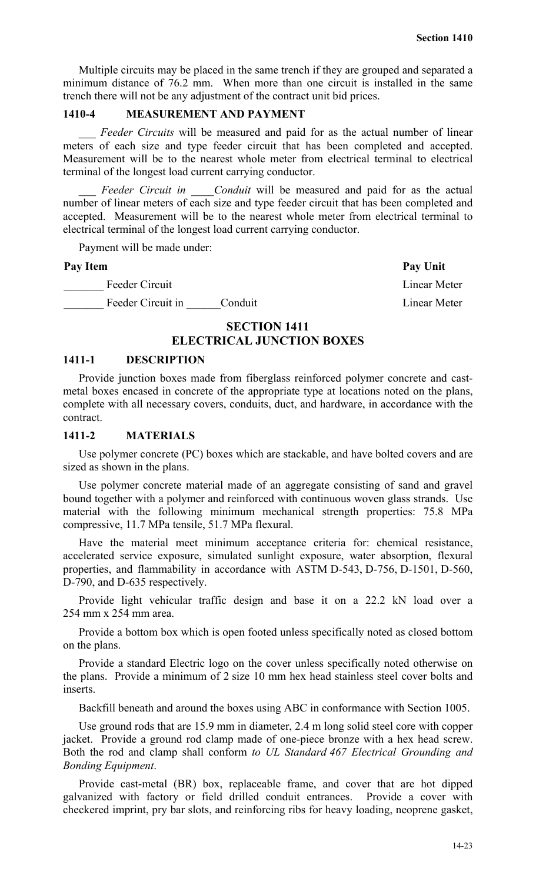Multiple circuits may be placed in the same trench if they are grouped and separated a minimum distance of 76.2 mm. When more than one circuit is installed in the same trench there will not be any adjustment of the contract unit bid prices.

# **1410-4 MEASUREMENT AND PAYMENT**

*Feeder Circuits* will be measured and paid for as the actual number of linear meters of each size and type feeder circuit that has been completed and accepted. Measurement will be to the nearest whole meter from electrical terminal to electrical terminal of the longest load current carrying conductor.

Feeder Circuit in Conduit will be measured and paid for as the actual number of linear meters of each size and type feeder circuit that has been completed and accepted. Measurement will be to the nearest whole meter from electrical terminal to electrical terminal of the longest load current carrying conductor.

Payment will be made under:

Linear Meter Linear Meter

Pay Item Pay Unit

# **SECTION 1411**

# **ELECTRICAL JUNCTION BOXES**

#### **1411-1 DESCRIPTION**

Provide junction boxes made from fiberglass reinforced polymer concrete and castmetal boxes encased in concrete of the appropriate type at locations noted on the plans, complete with all necessary covers, conduits, duct, and hardware, in accordance with the contract.

#### **1411-2 MATERIALS**

Use polymer concrete (PC) boxes which are stackable, and have bolted covers and are sized as shown in the plans.

Use polymer concrete material made of an aggregate consisting of sand and gravel bound together with a polymer and reinforced with continuous woven glass strands. Use material with the following minimum mechanical strength properties: 75.8 MPa compressive, 11.7 MPa tensile, 51.7 MPa flexural.

Have the material meet minimum acceptance criteria for: chemical resistance, accelerated service exposure, simulated sunlight exposure, water absorption, flexural properties, and flammability in accordance with ASTM D-543, D-756, D-1501, D-560, D-790, and D-635 respectively.

Provide light vehicular traffic design and base it on a 22.2 kN load over a 254 mm x 254 mm area.

Provide a bottom box which is open footed unless specifically noted as closed bottom on the plans.

Provide a standard Electric logo on the cover unless specifically noted otherwise on the plans. Provide a minimum of 2 size 10 mm hex head stainless steel cover bolts and inserts.

Backfill beneath and around the boxes using ABC in conformance with Section 1005.

Use ground rods that are 15.9 mm in diameter, 2.4 m long solid steel core with copper jacket. Provide a ground rod clamp made of one-piece bronze with a hex head screw. Both the rod and clamp shall conform *to UL Standard 467 Electrical Grounding and Bonding Equipment*.

Provide cast-metal (BR) box, replaceable frame, and cover that are hot dipped galvanized with factory or field drilled conduit entrances. Provide a cover with checkered imprint, pry bar slots, and reinforcing ribs for heavy loading, neoprene gasket,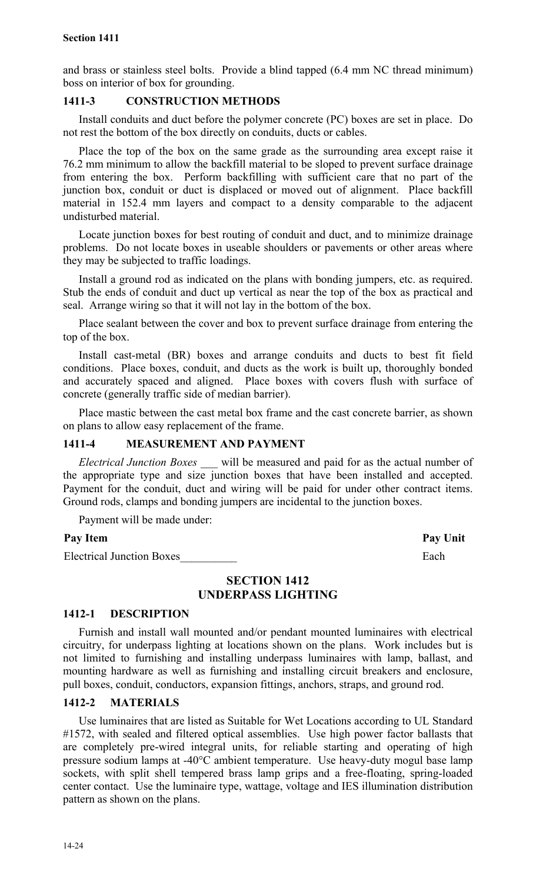and brass or stainless steel bolts. Provide a blind tapped (6.4 mm NC thread minimum) boss on interior of box for grounding.

# **1411-3 CONSTRUCTION METHODS**

Install conduits and duct before the polymer concrete (PC) boxes are set in place. Do not rest the bottom of the box directly on conduits, ducts or cables.

Place the top of the box on the same grade as the surrounding area except raise it 76.2 mm minimum to allow the backfill material to be sloped to prevent surface drainage from entering the box. Perform backfilling with sufficient care that no part of the junction box, conduit or duct is displaced or moved out of alignment. Place backfill material in 152.4 mm layers and compact to a density comparable to the adjacent undisturbed material.

Locate junction boxes for best routing of conduit and duct, and to minimize drainage problems. Do not locate boxes in useable shoulders or pavements or other areas where they may be subjected to traffic loadings.

Install a ground rod as indicated on the plans with bonding jumpers, etc. as required. Stub the ends of conduit and duct up vertical as near the top of the box as practical and seal. Arrange wiring so that it will not lay in the bottom of the box.

Place sealant between the cover and box to prevent surface drainage from entering the top of the box.

Install cast-metal (BR) boxes and arrange conduits and ducts to best fit field conditions. Place boxes, conduit, and ducts as the work is built up, thoroughly bonded and accurately spaced and aligned. Place boxes with covers flush with surface of concrete (generally traffic side of median barrier).

Place mastic between the cast metal box frame and the cast concrete barrier, as shown on plans to allow easy replacement of the frame.

# **1411-4 MEASUREMENT AND PAYMENT**

*Electrical Junction Boxes \_\_\_* will be measured and paid for as the actual number of the appropriate type and size junction boxes that have been installed and accepted. Payment for the conduit, duct and wiring will be paid for under other contract items. Ground rods, clamps and bonding jumpers are incidental to the junction boxes.

Payment will be made under:

# Pay Item **Pay Unit**

Electrical Junction Boxes **Each** 

# **SECTION 1412 UNDERPASS LIGHTING**

# **1412-1 DESCRIPTION**

Furnish and install wall mounted and/or pendant mounted luminaires with electrical circuitry, for underpass lighting at locations shown on the plans. Work includes but is not limited to furnishing and installing underpass luminaires with lamp, ballast, and mounting hardware as well as furnishing and installing circuit breakers and enclosure, pull boxes, conduit, conductors, expansion fittings, anchors, straps, and ground rod.

# **1412-2 MATERIALS**

Use luminaires that are listed as Suitable for Wet Locations according to UL Standard #1572, with sealed and filtered optical assemblies. Use high power factor ballasts that are completely pre-wired integral units, for reliable starting and operating of high pressure sodium lamps at -40°C ambient temperature. Use heavy-duty mogul base lamp sockets, with split shell tempered brass lamp grips and a free-floating, spring-loaded center contact. Use the luminaire type, wattage, voltage and IES illumination distribution pattern as shown on the plans.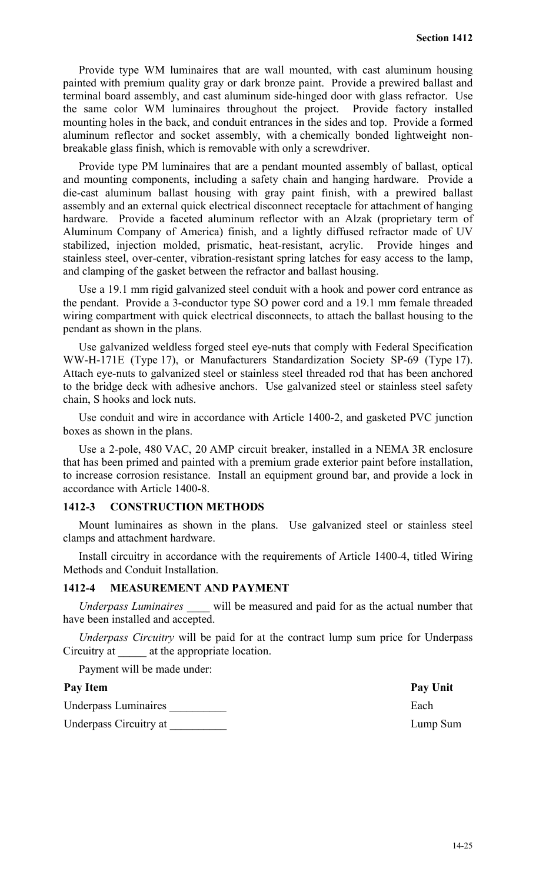Provide type WM luminaires that are wall mounted, with cast aluminum housing painted with premium quality gray or dark bronze paint. Provide a prewired ballast and terminal board assembly, and cast aluminum side-hinged door with glass refractor. Use the same color WM luminaires throughout the project. Provide factory installed mounting holes in the back, and conduit entrances in the sides and top. Provide a formed aluminum reflector and socket assembly, with a chemically bonded lightweight nonbreakable glass finish, which is removable with only a screwdriver.

Provide type PM luminaires that are a pendant mounted assembly of ballast, optical and mounting components, including a safety chain and hanging hardware. Provide a die-cast aluminum ballast housing with gray paint finish, with a prewired ballast assembly and an external quick electrical disconnect receptacle for attachment of hanging hardware. Provide a faceted aluminum reflector with an Alzak (proprietary term of Aluminum Company of America) finish, and a lightly diffused refractor made of UV stabilized, injection molded, prismatic, heat-resistant, acrylic. Provide hinges and stainless steel, over-center, vibration-resistant spring latches for easy access to the lamp, and clamping of the gasket between the refractor and ballast housing.

Use a 19.1 mm rigid galvanized steel conduit with a hook and power cord entrance as the pendant. Provide a 3-conductor type SO power cord and a 19.1 mm female threaded wiring compartment with quick electrical disconnects, to attach the ballast housing to the pendant as shown in the plans.

Use galvanized weldless forged steel eye-nuts that comply with Federal Specification WW-H-171E (Type 17), or Manufacturers Standardization Society SP-69 (Type 17). Attach eye-nuts to galvanized steel or stainless steel threaded rod that has been anchored to the bridge deck with adhesive anchors. Use galvanized steel or stainless steel safety chain, S hooks and lock nuts.

Use conduit and wire in accordance with Article 1400-2, and gasketed PVC junction boxes as shown in the plans.

Use a 2-pole, 480 VAC, 20 AMP circuit breaker, installed in a NEMA 3R enclosure that has been primed and painted with a premium grade exterior paint before installation, to increase corrosion resistance. Install an equipment ground bar, and provide a lock in accordance with Article 1400-8.

# **1412-3 CONSTRUCTION METHODS**

Mount luminaires as shown in the plans. Use galvanized steel or stainless steel clamps and attachment hardware.

Install circuitry in accordance with the requirements of Article 1400-4, titled Wiring Methods and Conduit Installation.

#### **1412-4 MEASUREMENT AND PAYMENT**

*Underpass Luminaires \_\_\_\_* will be measured and paid for as the actual number that have been installed and accepted.

*Underpass Circuitry* will be paid for at the contract lump sum price for Underpass Circuitry at  $\qquad$  at the appropriate location.

Payment will be made under:

#### Pay Item Pay Unit

Underpass Luminaires **Each** 

Underpass Circuitry at  $Lump$  Sum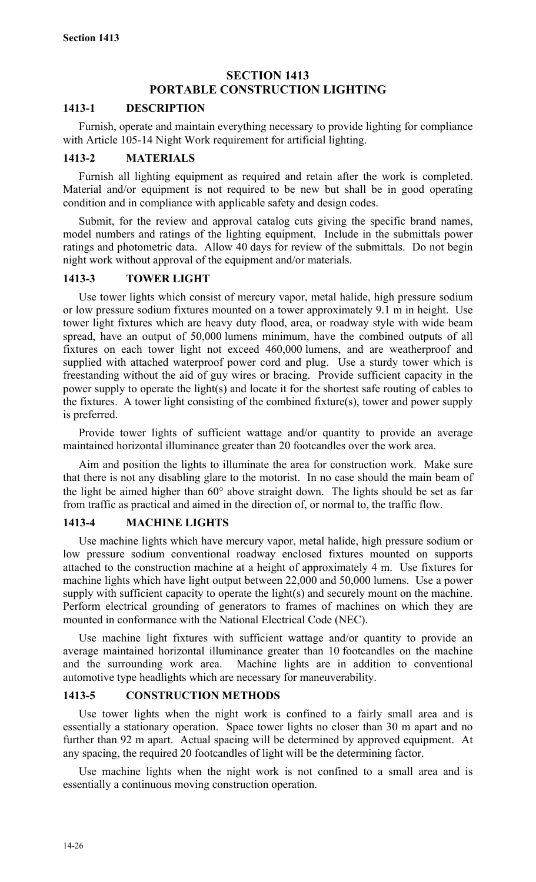# **SECTION 1413 PORTABLE CONSTRUCTION LIGHTING**

# **1413-1 DESCRIPTION**

Furnish, operate and maintain everything necessary to provide lighting for compliance with Article 105-14 Night Work requirement for artificial lighting.

# **1413-2 MATERIALS**

Furnish all lighting equipment as required and retain after the work is completed. Material and/or equipment is not required to be new but shall be in good operating condition and in compliance with applicable safety and design codes.

Submit, for the review and approval catalog cuts giving the specific brand names, model numbers and ratings of the lighting equipment. Include in the submittals power ratings and photometric data. Allow 40 days for review of the submittals. Do not begin night work without approval of the equipment and/or materials.

# **1413-3 TOWER LIGHT**

Use tower lights which consist of mercury vapor, metal halide, high pressure sodium or low pressure sodium fixtures mounted on a tower approximately 9.1 m in height. Use tower light fixtures which are heavy duty flood, area, or roadway style with wide beam spread, have an output of 50,000 lumens minimum, have the combined outputs of all fixtures on each tower light not exceed 460,000 lumens, and are weatherproof and supplied with attached waterproof power cord and plug. Use a sturdy tower which is freestanding without the aid of guy wires or bracing. Provide sufficient capacity in the power supply to operate the light(s) and locate it for the shortest safe routing of cables to the fixtures. A tower light consisting of the combined fixture(s), tower and power supply is preferred.

Provide tower lights of sufficient wattage and/or quantity to provide an average maintained horizontal illuminance greater than 20 footcandles over the work area.

Aim and position the lights to illuminate the area for construction work. Make sure that there is not any disabling glare to the motorist. In no case should the main beam of the light be aimed higher than 60° above straight down. The lights should be set as far from traffic as practical and aimed in the direction of, or normal to, the traffic flow.

# **1413-4 MACHINE LIGHTS**

Use machine lights which have mercury vapor, metal halide, high pressure sodium or low pressure sodium conventional roadway enclosed fixtures mounted on supports attached to the construction machine at a height of approximately 4 m. Use fixtures for machine lights which have light output between 22,000 and 50,000 lumens. Use a power supply with sufficient capacity to operate the light(s) and securely mount on the machine. Perform electrical grounding of generators to frames of machines on which they are mounted in conformance with the National Electrical Code (NEC).

Use machine light fixtures with sufficient wattage and/or quantity to provide an average maintained horizontal illuminance greater than 10 footcandles on the machine and the surrounding work area. Machine lights are in addition to conventional automotive type headlights which are necessary for maneuverability.

# **1413-5 CONSTRUCTION METHODS**

Use tower lights when the night work is confined to a fairly small area and is essentially a stationary operation. Space tower lights no closer than 30 m apart and no further than 92 m apart. Actual spacing will be determined by approved equipment. At any spacing, the required 20 footcandles of light will be the determining factor.

Use machine lights when the night work is not confined to a small area and is essentially a continuous moving construction operation.